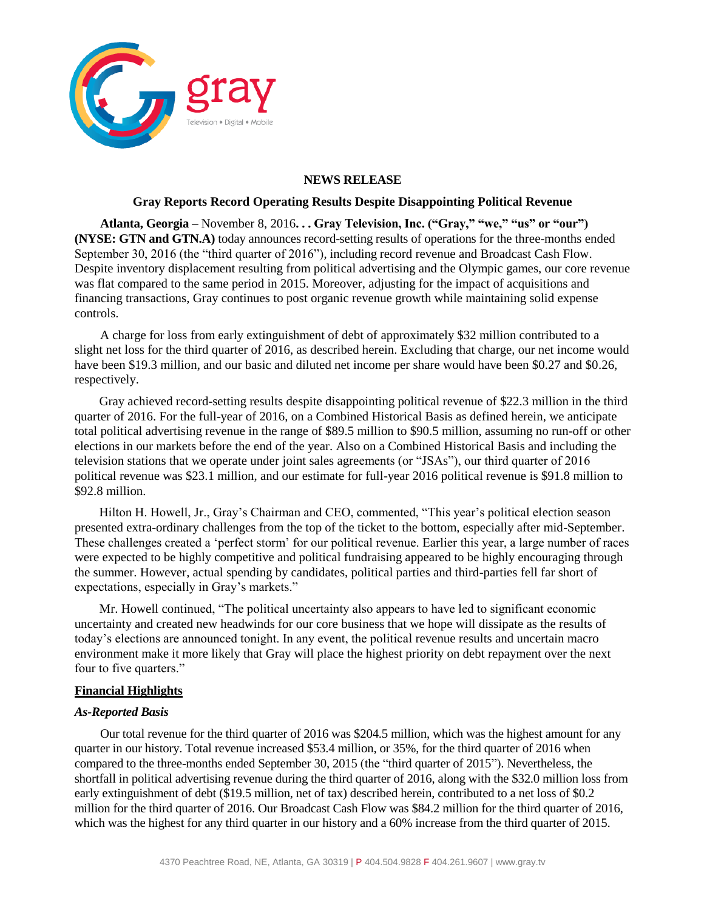

### **NEWS RELEASE**

### **Gray Reports Record Operating Results Despite Disappointing Political Revenue**

**Atlanta, Georgia –** November 8, 2016**. . . Gray Television, Inc. ("Gray," "we," "us" or "our") (NYSE: GTN and GTN.A)** today announces record-setting results of operations for the three-months ended September 30, 2016 (the "third quarter of 2016"), including record revenue and Broadcast Cash Flow. Despite inventory displacement resulting from political advertising and the Olympic games, our core revenue was flat compared to the same period in 2015. Moreover, adjusting for the impact of acquisitions and financing transactions, Gray continues to post organic revenue growth while maintaining solid expense controls.

A charge for loss from early extinguishment of debt of approximately \$32 million contributed to a slight net loss for the third quarter of 2016, as described herein. Excluding that charge, our net income would have been \$19.3 million, and our basic and diluted net income per share would have been \$0.27 and \$0.26, respectively.

Gray achieved record-setting results despite disappointing political revenue of \$22.3 million in the third quarter of 2016. For the full-year of 2016, on a Combined Historical Basis as defined herein, we anticipate total political advertising revenue in the range of \$89.5 million to \$90.5 million, assuming no run-off or other elections in our markets before the end of the year. Also on a Combined Historical Basis and including the television stations that we operate under joint sales agreements (or "JSAs"), our third quarter of 2016 political revenue was \$23.1 million, and our estimate for full-year 2016 political revenue is \$91.8 million to \$92.8 million.

Hilton H. Howell, Jr., Gray's Chairman and CEO, commented, "This year's political election season presented extra-ordinary challenges from the top of the ticket to the bottom, especially after mid-September. These challenges created a 'perfect storm' for our political revenue. Earlier this year, a large number of races were expected to be highly competitive and political fundraising appeared to be highly encouraging through the summer. However, actual spending by candidates, political parties and third-parties fell far short of expectations, especially in Gray's markets."

Mr. Howell continued, "The political uncertainty also appears to have led to significant economic uncertainty and created new headwinds for our core business that we hope will dissipate as the results of today's elections are announced tonight. In any event, the political revenue results and uncertain macro environment make it more likely that Gray will place the highest priority on debt repayment over the next four to five quarters."

### **Financial Highlights**

### *As-Reported Basis*

Our total revenue for the third quarter of 2016 was \$204.5 million, which was the highest amount for any quarter in our history. Total revenue increased \$53.4 million, or 35%, for the third quarter of 2016 when compared to the three-months ended September 30, 2015 (the "third quarter of 2015"). Nevertheless, the shortfall in political advertising revenue during the third quarter of 2016, along with the \$32.0 million loss from early extinguishment of debt (\$19.5 million, net of tax) described herein, contributed to a net loss of \$0.2 million for the third quarter of 2016. Our Broadcast Cash Flow was \$84.2 million for the third quarter of 2016, which was the highest for any third quarter in our history and a 60% increase from the third quarter of 2015.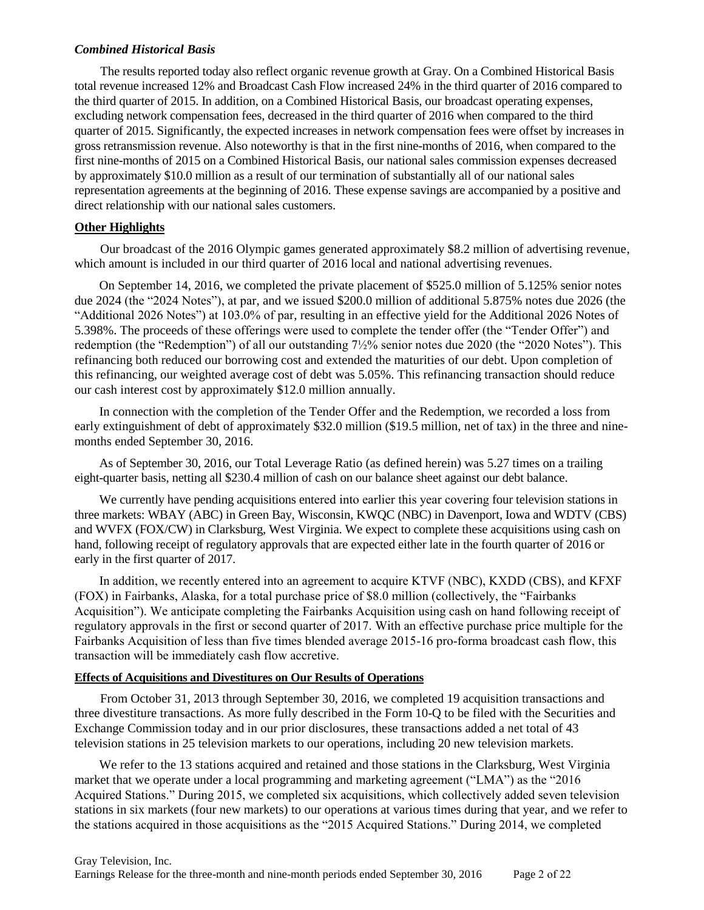## *Combined Historical Basis*

The results reported today also reflect organic revenue growth at Gray. On a Combined Historical Basis total revenue increased 12% and Broadcast Cash Flow increased 24% in the third quarter of 2016 compared to the third quarter of 2015. In addition, on a Combined Historical Basis, our broadcast operating expenses, excluding network compensation fees, decreased in the third quarter of 2016 when compared to the third quarter of 2015. Significantly, the expected increases in network compensation fees were offset by increases in gross retransmission revenue. Also noteworthy is that in the first nine-months of 2016, when compared to the first nine-months of 2015 on a Combined Historical Basis, our national sales commission expenses decreased by approximately \$10.0 million as a result of our termination of substantially all of our national sales representation agreements at the beginning of 2016. These expense savings are accompanied by a positive and direct relationship with our national sales customers.

## **Other Highlights**

Our broadcast of the 2016 Olympic games generated approximately \$8.2 million of advertising revenue, which amount is included in our third quarter of 2016 local and national advertising revenues.

On September 14, 2016, we completed the private placement of \$525.0 million of 5.125% senior notes due 2024 (the "2024 Notes"), at par, and we issued \$200.0 million of additional 5.875% notes due 2026 (the "Additional 2026 Notes") at 103.0% of par, resulting in an effective yield for the Additional 2026 Notes of 5.398%. The proceeds of these offerings were used to complete the tender offer (the "Tender Offer") and redemption (the "Redemption") of all our outstanding 7½% senior notes due 2020 (the "2020 Notes"). This refinancing both reduced our borrowing cost and extended the maturities of our debt. Upon completion of this refinancing, our weighted average cost of debt was 5.05%. This refinancing transaction should reduce our cash interest cost by approximately \$12.0 million annually.

In connection with the completion of the Tender Offer and the Redemption, we recorded a loss from early extinguishment of debt of approximately \$32.0 million (\$19.5 million, net of tax) in the three and ninemonths ended September 30, 2016.

As of September 30, 2016, our Total Leverage Ratio (as defined herein) was 5.27 times on a trailing eight-quarter basis, netting all \$230.4 million of cash on our balance sheet against our debt balance.

We currently have pending acquisitions entered into earlier this year covering four television stations in three markets: WBAY (ABC) in Green Bay, Wisconsin, KWQC (NBC) in Davenport, Iowa and WDTV (CBS) and WVFX (FOX/CW) in Clarksburg, West Virginia. We expect to complete these acquisitions using cash on hand, following receipt of regulatory approvals that are expected either late in the fourth quarter of 2016 or early in the first quarter of 2017.

In addition, we recently entered into an agreement to acquire KTVF (NBC), KXDD (CBS), and KFXF (FOX) in Fairbanks, Alaska, for a total purchase price of \$8.0 million (collectively, the "Fairbanks Acquisition"). We anticipate completing the Fairbanks Acquisition using cash on hand following receipt of regulatory approvals in the first or second quarter of 2017. With an effective purchase price multiple for the Fairbanks Acquisition of less than five times blended average 2015-16 pro-forma broadcast cash flow, this transaction will be immediately cash flow accretive.

### **Effects of Acquisitions and Divestitures on Our Results of Operations**

From October 31, 2013 through September 30, 2016, we completed 19 acquisition transactions and three divestiture transactions. As more fully described in the Form 10-Q to be filed with the Securities and Exchange Commission today and in our prior disclosures, these transactions added a net total of 43 television stations in 25 television markets to our operations, including 20 new television markets.

We refer to the 13 stations acquired and retained and those stations in the Clarksburg, West Virginia market that we operate under a local programming and marketing agreement ("LMA") as the "2016 Acquired Stations." During 2015, we completed six acquisitions, which collectively added seven television stations in six markets (four new markets) to our operations at various times during that year, and we refer to the stations acquired in those acquisitions as the "2015 Acquired Stations." During 2014, we completed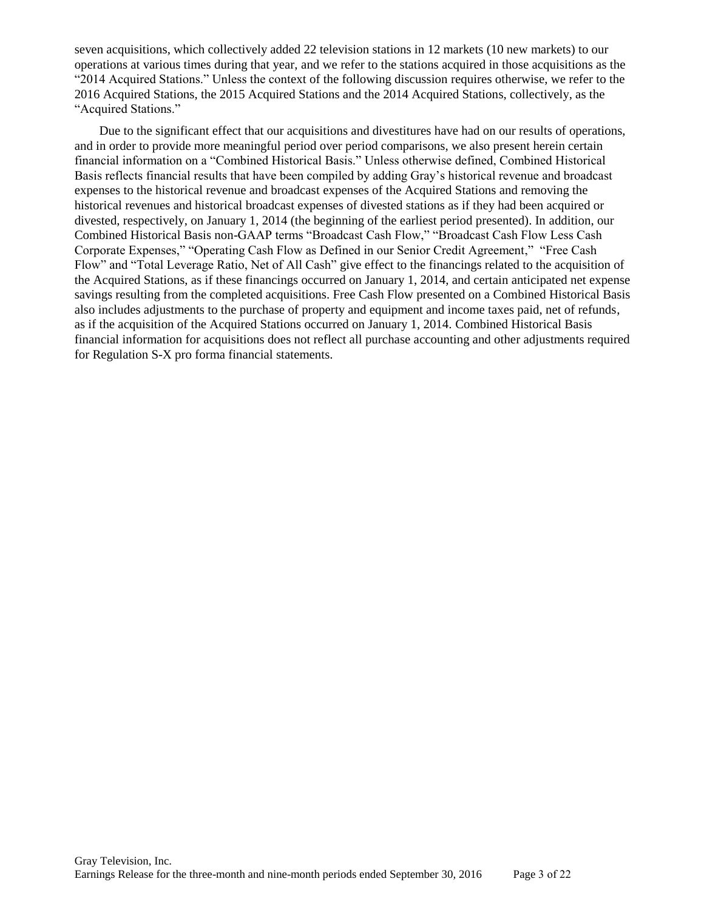seven acquisitions, which collectively added 22 television stations in 12 markets (10 new markets) to our operations at various times during that year, and we refer to the stations acquired in those acquisitions as the "2014 Acquired Stations." Unless the context of the following discussion requires otherwise, we refer to the 2016 Acquired Stations, the 2015 Acquired Stations and the 2014 Acquired Stations, collectively, as the "Acquired Stations."

Due to the significant effect that our acquisitions and divestitures have had on our results of operations, and in order to provide more meaningful period over period comparisons, we also present herein certain financial information on a "Combined Historical Basis." Unless otherwise defined, Combined Historical Basis reflects financial results that have been compiled by adding Gray's historical revenue and broadcast expenses to the historical revenue and broadcast expenses of the Acquired Stations and removing the historical revenues and historical broadcast expenses of divested stations as if they had been acquired or divested, respectively, on January 1, 2014 (the beginning of the earliest period presented). In addition, our Combined Historical Basis non-GAAP terms "Broadcast Cash Flow," "Broadcast Cash Flow Less Cash Corporate Expenses," "Operating Cash Flow as Defined in our Senior Credit Agreement," "Free Cash Flow" and "Total Leverage Ratio, Net of All Cash" give effect to the financings related to the acquisition of the Acquired Stations, as if these financings occurred on January 1, 2014, and certain anticipated net expense savings resulting from the completed acquisitions. Free Cash Flow presented on a Combined Historical Basis also includes adjustments to the purchase of property and equipment and income taxes paid, net of refunds, as if the acquisition of the Acquired Stations occurred on January 1, 2014. Combined Historical Basis financial information for acquisitions does not reflect all purchase accounting and other adjustments required for Regulation S-X pro forma financial statements.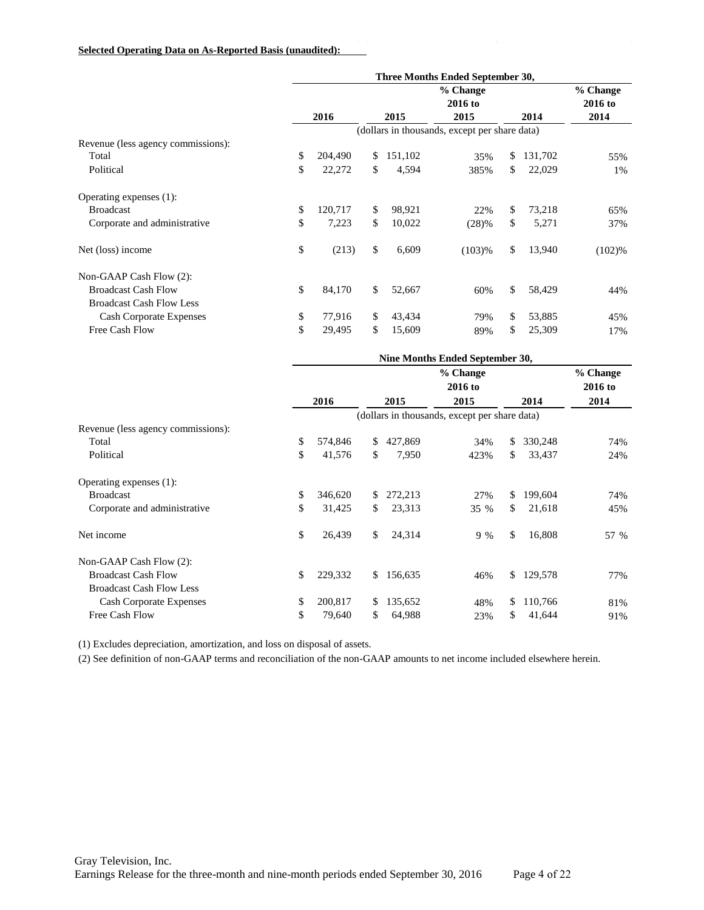#### **Selected Operating Data on As-Reported Basis (unaudited):**

|                                    | Three Months Ended September 30, |         |    |         |                                               |    |         |                     |
|------------------------------------|----------------------------------|---------|----|---------|-----------------------------------------------|----|---------|---------------------|
|                                    |                                  |         |    |         | % Change<br>2016 to                           |    |         | % Change<br>2016 to |
|                                    |                                  | 2016    |    | 2015    | 2015                                          |    | 2014    | 2014                |
|                                    |                                  |         |    |         | (dollars in thousands, except per share data) |    |         |                     |
| Revenue (less agency commissions): |                                  |         |    |         |                                               |    |         |                     |
| Total                              | \$                               | 204,490 | \$ | 151,102 | 35%                                           | \$ | 131,702 | 55%                 |
| Political                          | \$                               | 22,272  | \$ | 4,594   | 385%                                          | \$ | 22,029  | 1%                  |
| Operating expenses (1):            |                                  |         |    |         |                                               |    |         |                     |
| <b>Broadcast</b>                   | \$                               | 120,717 | \$ | 98,921  | 22%                                           | \$ | 73,218  | 65%                 |
| Corporate and administrative       | \$                               | 7,223   | \$ | 10,022  | (28)%                                         | \$ | 5,271   | 37%                 |
| Net (loss) income                  | \$                               | (213)   | \$ | 6,609   | (103)%                                        | \$ | 13,940  | (102)%              |
| Non-GAAP Cash Flow (2):            |                                  |         |    |         |                                               |    |         |                     |
| <b>Broadcast Cash Flow</b>         | \$                               | 84,170  | \$ | 52,667  | 60%                                           | \$ | 58,429  | 44%                 |
| <b>Broadcast Cash Flow Less</b>    |                                  |         |    |         |                                               |    |         |                     |
| <b>Cash Corporate Expenses</b>     | \$                               | 77,916  | \$ | 43,434  | 79%                                           | \$ | 53,885  | 45%                 |
| Free Cash Flow                     | \$                               | 29,495  | \$ | 15,609  | 89%                                           | \$ | 25,309  | 17%                 |

|         |    |         | % Change |                     |         |                                                                                        |
|---------|----|---------|----------|---------------------|---------|----------------------------------------------------------------------------------------|
| 2016    |    | 2015    | 2015     |                     | 2014    | 2016 to<br>2014                                                                        |
|         |    |         |          |                     |         |                                                                                        |
|         |    |         |          |                     |         |                                                                                        |
| 574,846 | \$ | 427,869 | 34%      | \$                  | 330,248 | 74%                                                                                    |
| 41,576  | \$ | 7,950   | 423%     | \$                  | 33,437  | 24%                                                                                    |
|         |    |         |          |                     |         |                                                                                        |
| 346,620 | \$ | 272,213 | 27%      | S.                  | 199,604 | 74%                                                                                    |
| 31,425  | \$ | 23,313  | 35 %     | \$.                 | 21,618  | 45%                                                                                    |
| 26,439  | \$ | 24,314  | $9\%$    | \$                  | 16,808  | 57 %                                                                                   |
|         |    |         |          |                     |         |                                                                                        |
| 229,332 | \$ | 156,635 | 46%      |                     | 129,578 | 77%                                                                                    |
|         |    |         |          |                     |         |                                                                                        |
| 200,817 | \$ | 135,652 | 48%      | \$                  | 110,766 | 81%                                                                                    |
| 79,640  | \$ | 64,988  | 23%      | \$                  | 41,644  | 91%                                                                                    |
|         |    |         |          | % Change<br>2016 to |         | Nine Months Ended September 30,<br>(dollars in thousands, except per share data)<br>\$ |

(1) Excludes depreciation, amortization, and loss on disposal of assets.

(2) See definition of non-GAAP terms and reconciliation of the non-GAAP amounts to net income included elsewhere herein.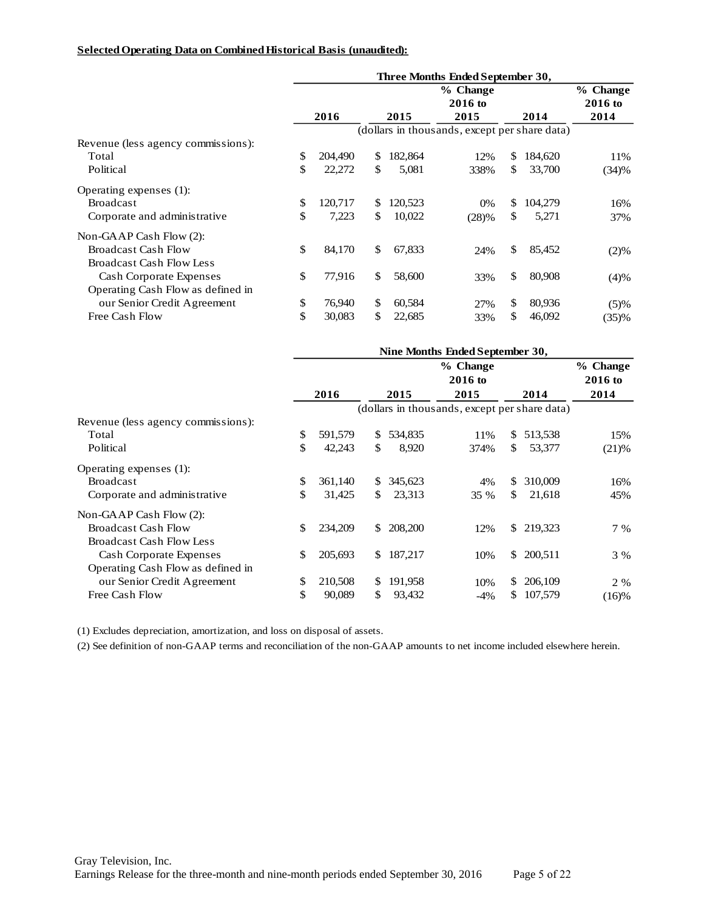#### **Selected Operating Data on Combined Historical Basis (unaudited):**

|                                    | Three Months Ended September 30, |         |     |         |                                               |              |         |           |
|------------------------------------|----------------------------------|---------|-----|---------|-----------------------------------------------|--------------|---------|-----------|
|                                    |                                  |         |     |         | % Change                                      |              |         | % Change  |
|                                    |                                  |         |     |         | $2016$ to                                     |              |         | $2016$ to |
|                                    |                                  | 2016    |     | 2015    | 2015                                          |              | 2014    | 2014      |
|                                    |                                  |         |     |         | (dollars in thousands, except per share data) |              |         |           |
| Revenue (less agency commissions): |                                  |         |     |         |                                               |              |         |           |
| Total                              | \$                               | 204,490 | \$. | 182,864 | 12%                                           | \$           | 184,620 | 11%       |
| Political                          | \$                               | 22,272  | \$  | 5,081   | 338%                                          | \$           | 33,700  | (34)%     |
| Operating expenses (1):            |                                  |         |     |         |                                               |              |         |           |
| <b>Broadcast</b>                   | \$                               | 120.717 | \$. | 120,523 | $0\%$                                         | \$           | 104,279 | 16%       |
| Corporate and administrative       | \$                               | 7,223   | \$  | 10,022  | (28)%                                         | $\mathbb{S}$ | 5,271   | 37%       |
| Non-GAAP Cash Flow $(2)$ :         |                                  |         |     |         |                                               |              |         |           |
| <b>Broadcast Cash Flow</b>         | \$                               | 84,170  | \$  | 67,833  | 24%                                           | \$           | 85,452  | (2)%      |
| <b>Broadcast Cash Flow Less</b>    |                                  |         |     |         |                                               |              |         |           |
| Cash Corporate Expenses            | \$                               | 77,916  | \$  | 58,600  | 33%                                           | \$           | 80,908  | (4)%      |
| Operating Cash Flow as defined in  |                                  |         |     |         |                                               |              |         |           |
| our Senior Credit Agreement        | \$                               | 76,940  | \$  | 60,584  | 27%                                           | $\mathbb{S}$ | 80,936  | (5)%      |
| Free Cash Flow                     | \$                               | 30,083  | \$  | 22,685  | 33%                                           | \$           | 46,092  | (35)%     |

|                                    | Nine Months Ended September 30, |         |     |         |                                               |               |           |          |
|------------------------------------|---------------------------------|---------|-----|---------|-----------------------------------------------|---------------|-----------|----------|
|                                    |                                 |         |     |         | % Change                                      |               |           | % Change |
|                                    |                                 |         |     |         | 2016 to                                       |               |           | 2016 to  |
|                                    |                                 | 2016    |     | 2015    | 2015                                          |               | 2014      | 2014     |
|                                    |                                 |         |     |         | (dollars in thousands, except per share data) |               |           |          |
| Revenue (less agency commissions): |                                 |         |     |         |                                               |               |           |          |
| Total                              | \$                              | 591,579 | \$  | 534,835 | 11%                                           | S.            | 513,538   | 15%      |
| Political                          | \$                              | 42,243  | \$  | 8,920   | 374%                                          | \$            | 53,377    | (21)%    |
| Operating expenses (1):            |                                 |         |     |         |                                               |               |           |          |
| <b>Broadcast</b>                   | \$                              | 361,140 | \$  | 345,623 | 4%                                            | <sup>\$</sup> | 310,009   | 16%      |
| Corporate and administrative       | \$                              | 31,425  | \$  | 23,313  | 35 %                                          | \$.           | 21,618    | 45%      |
| Non-GAAP Cash Flow (2):            |                                 |         |     |         |                                               |               |           |          |
| <b>Broadcast Cash Flow</b>         | \$                              | 234,209 | \$  | 208,200 | 12%                                           |               | \$219,323 | 7 %      |
| <b>Broadcast Cash Flow Less</b>    |                                 |         |     |         |                                               |               |           |          |
| Cash Corporate Expenses            | \$                              | 205,693 | \$. | 187,217 | 10%                                           | \$            | 200,511   | 3 %      |
| Operating Cash Flow as defined in  |                                 |         |     |         |                                               |               |           |          |
| our Senior Credit Agreement        | \$                              | 210,508 | \$  | 191,958 | 10%                                           | S.            | 206,109   | 2 %      |
| Free Cash Flow                     | \$                              | 90,089  | \$  | 93,432  | $-4\%$                                        | S.            | 107,579   | (16)%    |

(1) Excludes depreciation, amortization, and loss on disposal of assets.

(2) See definition of non-GAAP terms and reconciliation of the non-GAAP amounts to net income included elsewhere herein.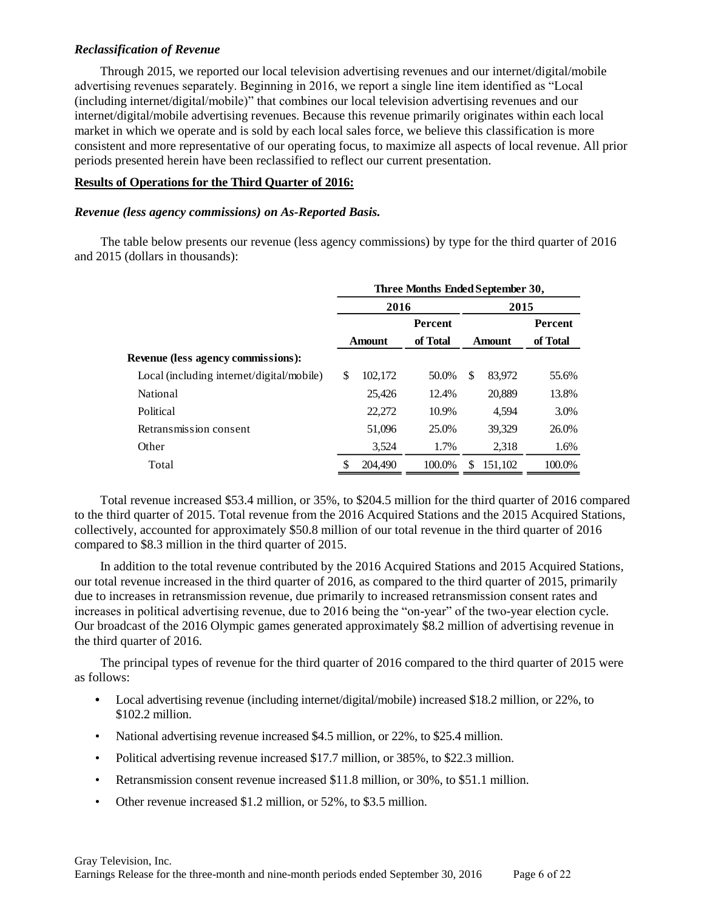## *Reclassification of Revenue*

Through 2015, we reported our local television advertising revenues and our internet/digital/mobile advertising revenues separately. Beginning in 2016, we report a single line item identified as "Local (including internet/digital/mobile)" that combines our local television advertising revenues and our internet/digital/mobile advertising revenues. Because this revenue primarily originates within each local market in which we operate and is sold by each local sales force, we believe this classification is more consistent and more representative of our operating focus, to maximize all aspects of local revenue. All prior periods presented herein have been reclassified to reflect our current presentation.

### **Results of Operations for the Third Quarter of 2016:**

### *Revenue (less agency commissions) on As-Reported Basis.*

The table below presents our revenue (less agency commissions) by type for the third quarter of 2016 and 2015 (dollars in thousands):

|                                           | Three Months Ended September 30, |               |                |      |               |          |  |  |  |
|-------------------------------------------|----------------------------------|---------------|----------------|------|---------------|----------|--|--|--|
|                                           |                                  | 2016          |                | 2015 |               |          |  |  |  |
|                                           |                                  |               | <b>Percent</b> |      |               | Percent  |  |  |  |
|                                           |                                  | <b>Amount</b> | of Total       |      | <b>Amount</b> | of Total |  |  |  |
| Revenue (less agency commissions):        |                                  |               |                |      |               |          |  |  |  |
| Local (including internet/digital/mobile) | \$                               | 102,172       | 50.0%          | S    | 83.972        | 55.6%    |  |  |  |
| National                                  |                                  | 25,426        | 12.4%          |      | 20,889        | 13.8%    |  |  |  |
| Political                                 |                                  | 22,272        | 10.9%          |      | 4.594         | 3.0%     |  |  |  |
| Retransmission consent                    |                                  | 51,096        | 25.0%          |      | 39,329        | 26.0%    |  |  |  |
| Other                                     |                                  | 3,524         | 1.7%           |      | 2,318         | 1.6%     |  |  |  |
| Total                                     | S                                | 204,490       | 100.0%         | S    | 151.102       | 100.0%   |  |  |  |

Total revenue increased \$53.4 million, or 35%, to \$204.5 million for the third quarter of 2016 compared to the third quarter of 2015. Total revenue from the 2016 Acquired Stations and the 2015 Acquired Stations, collectively, accounted for approximately \$50.8 million of our total revenue in the third quarter of 2016 compared to \$8.3 million in the third quarter of 2015.

In addition to the total revenue contributed by the 2016 Acquired Stations and 2015 Acquired Stations, our total revenue increased in the third quarter of 2016, as compared to the third quarter of 2015, primarily due to increases in retransmission revenue, due primarily to increased retransmission consent rates and increases in political advertising revenue, due to 2016 being the "on-year" of the two-year election cycle. Our broadcast of the 2016 Olympic games generated approximately \$8.2 million of advertising revenue in the third quarter of 2016.

The principal types of revenue for the third quarter of 2016 compared to the third quarter of 2015 were as follows:

- Local advertising revenue (including internet/digital/mobile) increased \$18.2 million, or 22%, to \$102.2 million.
- National advertising revenue increased \$4.5 million, or 22%, to \$25.4 million.
- Political advertising revenue increased \$17.7 million, or 385%, to \$22.3 million.
- Retransmission consent revenue increased \$11.8 million, or 30%, to \$51.1 million.
- Other revenue increased \$1.2 million, or 52%, to \$3.5 million.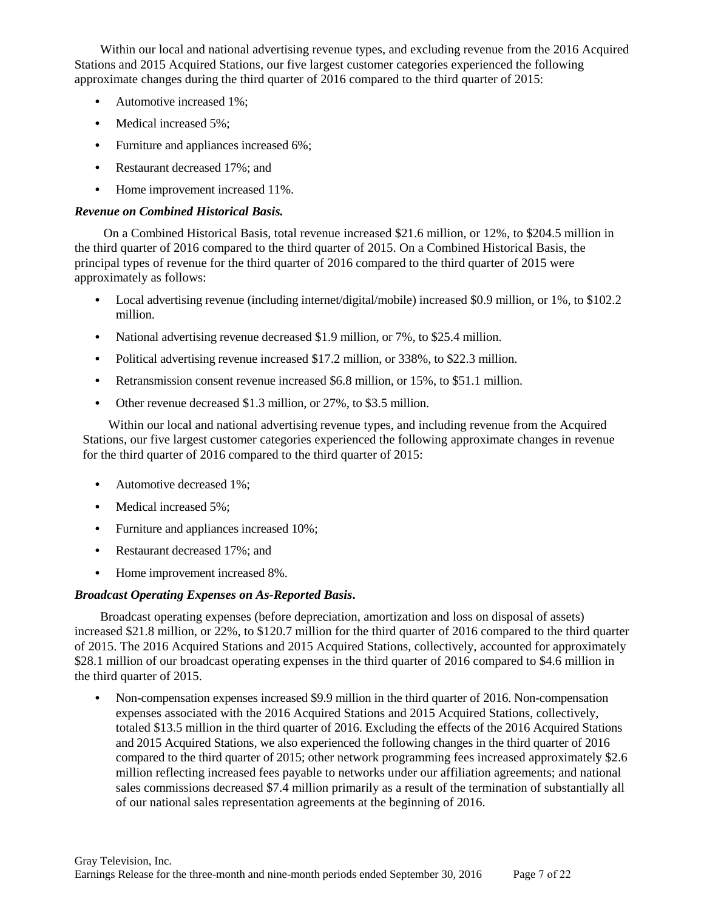Within our local and national advertising revenue types, and excluding revenue from the 2016 Acquired Stations and 2015 Acquired Stations, our five largest customer categories experienced the following approximate changes during the third quarter of 2016 compared to the third quarter of 2015:

- **•** Automotive increased 1%;
- Medical increased 5%;
- **•** Furniture and appliances increased 6%;
- **•** Restaurant decreased 17%; and
- **•** Home improvement increased 11%.

## *Revenue on Combined Historical Basis.*

On a Combined Historical Basis, total revenue increased \$21.6 million, or 12%, to \$204.5 million in the third quarter of 2016 compared to the third quarter of 2015. On a Combined Historical Basis, the principal types of revenue for the third quarter of 2016 compared to the third quarter of 2015 were approximately as follows:

- **•** Local advertising revenue (including internet/digital/mobile) increased \$0.9 million, or 1%, to \$102.2 million.
- **•** National advertising revenue decreased \$1.9 million, or 7%, to \$25.4 million.
- **•** Political advertising revenue increased \$17.2 million, or 338%, to \$22.3 million.
- **•** Retransmission consent revenue increased \$6.8 million, or 15%, to \$51.1 million.
- **•** Other revenue decreased \$1.3 million, or 27%, to \$3.5 million.

Within our local and national advertising revenue types, and including revenue from the Acquired Stations, our five largest customer categories experienced the following approximate changes in revenue for the third quarter of 2016 compared to the third quarter of 2015:

- **•** Automotive decreased 1%;
- Medical increased 5%:
- **•** Furniture and appliances increased 10%;
- **•** Restaurant decreased 17%; and
- **•** Home improvement increased 8%.

## *Broadcast Operating Expenses on As-Reported Basis***.**

Broadcast operating expenses (before depreciation, amortization and loss on disposal of assets) increased \$21.8 million, or 22%, to \$120.7 million for the third quarter of 2016 compared to the third quarter of 2015. The 2016 Acquired Stations and 2015 Acquired Stations, collectively, accounted for approximately \$28.1 million of our broadcast operating expenses in the third quarter of 2016 compared to \$4.6 million in the third quarter of 2015.

• Non-compensation expenses increased \$9.9 million in the third quarter of 2016. Non-compensation expenses associated with the 2016 Acquired Stations and 2015 Acquired Stations, collectively, totaled \$13.5 million in the third quarter of 2016. Excluding the effects of the 2016 Acquired Stations and 2015 Acquired Stations, we also experienced the following changes in the third quarter of 2016 compared to the third quarter of 2015; other network programming fees increased approximately \$2.6 million reflecting increased fees payable to networks under our affiliation agreements; and national sales commissions decreased \$7.4 million primarily as a result of the termination of substantially all of our national sales representation agreements at the beginning of 2016.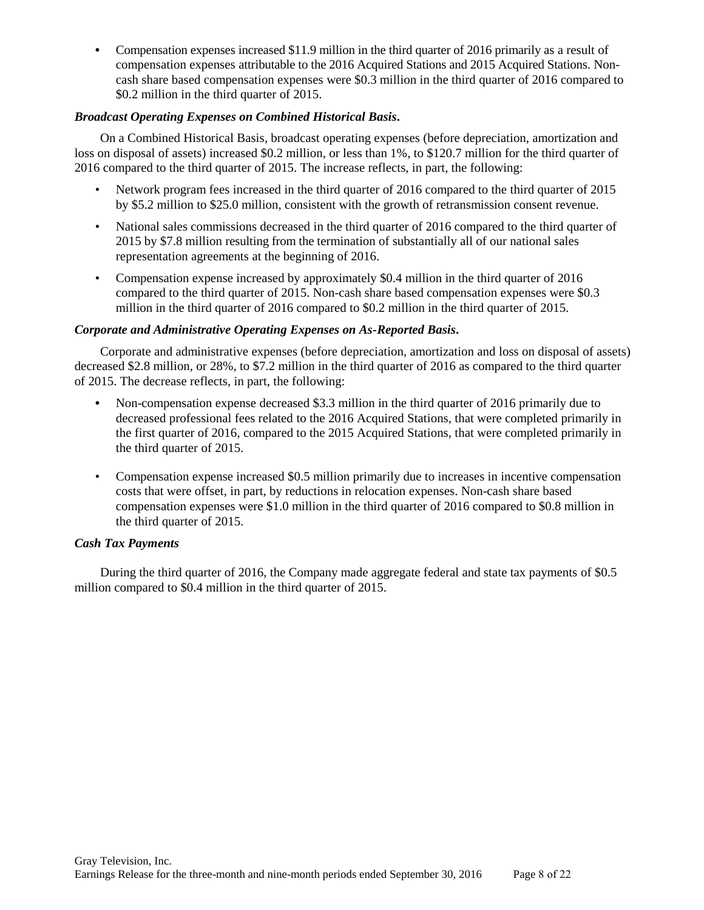**•** Compensation expenses increased \$11.9 million in the third quarter of 2016 primarily as a result of compensation expenses attributable to the 2016 Acquired Stations and 2015 Acquired Stations. Noncash share based compensation expenses were \$0.3 million in the third quarter of 2016 compared to \$0.2 million in the third quarter of 2015.

# *Broadcast Operating Expenses on Combined Historical Basis***.**

On a Combined Historical Basis, broadcast operating expenses (before depreciation, amortization and loss on disposal of assets) increased \$0.2 million, or less than 1%, to \$120.7 million for the third quarter of 2016 compared to the third quarter of 2015. The increase reflects, in part, the following:

- Network program fees increased in the third quarter of 2016 compared to the third quarter of 2015 by \$5.2 million to \$25.0 million, consistent with the growth of retransmission consent revenue.
- National sales commissions decreased in the third quarter of 2016 compared to the third quarter of 2015 by \$7.8 million resulting from the termination of substantially all of our national sales representation agreements at the beginning of 2016.
- Compensation expense increased by approximately \$0.4 million in the third quarter of 2016 compared to the third quarter of 2015. Non-cash share based compensation expenses were \$0.3 million in the third quarter of 2016 compared to \$0.2 million in the third quarter of 2015.

## *Corporate and Administrative Operating Expenses on As-Reported Basis***.**

Corporate and administrative expenses (before depreciation, amortization and loss on disposal of assets) decreased \$2.8 million, or 28%, to \$7.2 million in the third quarter of 2016 as compared to the third quarter of 2015. The decrease reflects, in part, the following:

- **•** Non-compensation expense decreased \$3.3 million in the third quarter of 2016 primarily due to decreased professional fees related to the 2016 Acquired Stations, that were completed primarily in the first quarter of 2016, compared to the 2015 Acquired Stations, that were completed primarily in the third quarter of 2015.
- Compensation expense increased \$0.5 million primarily due to increases in incentive compensation costs that were offset, in part, by reductions in relocation expenses. Non-cash share based compensation expenses were \$1.0 million in the third quarter of 2016 compared to \$0.8 million in the third quarter of 2015.

## *Cash Tax Payments*

During the third quarter of 2016, the Company made aggregate federal and state tax payments of \$0.5 million compared to \$0.4 million in the third quarter of 2015.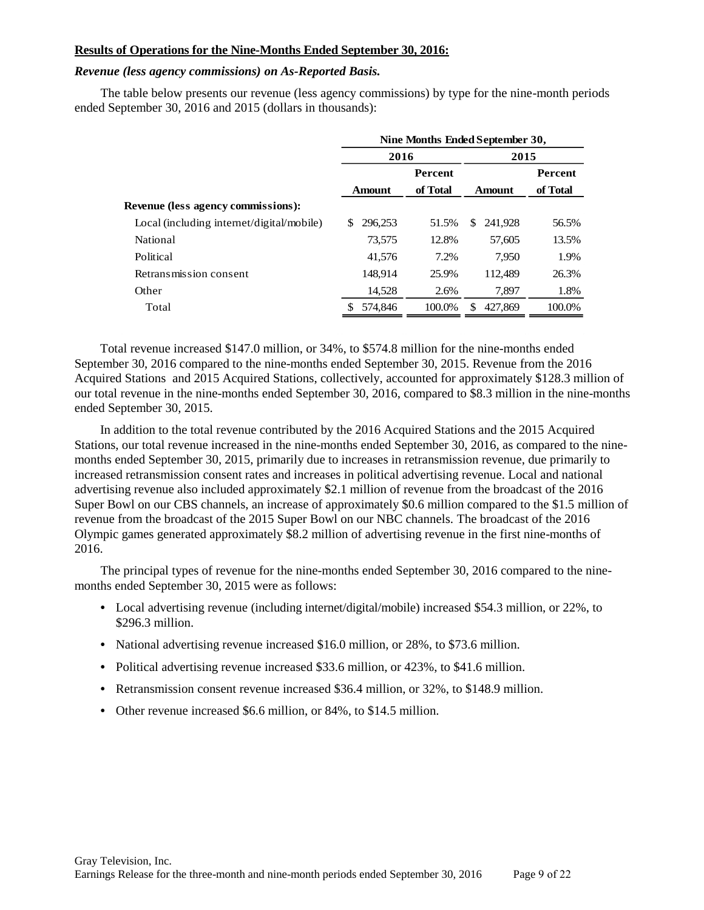### **Results of Operations for the Nine-Months Ended September 30, 2016:**

### *Revenue (less agency commissions) on As-Reported Basis.*

The table below presents our revenue (less agency commissions) by type for the nine-month periods ended September 30, 2016 and 2015 (dollars in thousands):

| Nine Months Ended September 30, |                |               |                |  |  |  |  |
|---------------------------------|----------------|---------------|----------------|--|--|--|--|
|                                 |                | 2015          |                |  |  |  |  |
|                                 | <b>Percent</b> |               | <b>Percent</b> |  |  |  |  |
| <b>Amount</b>                   | of Total       | <b>Amount</b> | of Total       |  |  |  |  |
|                                 |                |               |                |  |  |  |  |
| 296,253<br>S                    | 51.5%          | 241.928<br>\$ | 56.5%          |  |  |  |  |
| 73,575                          | 12.8%          | 57,605        | 13.5%          |  |  |  |  |
| 41,576                          | 7.2%           | 7.950         | 1.9%           |  |  |  |  |
| 148.914                         | 25.9%          | 112.489       | 26.3%          |  |  |  |  |
| 14,528                          | 2.6%           | 7.897         | 1.8%           |  |  |  |  |
| 574,846                         | 100.0%         | 427,869       | 100.0%         |  |  |  |  |
|                                 |                | 2016          |                |  |  |  |  |

Total revenue increased \$147.0 million, or 34%, to \$574.8 million for the nine-months ended September 30, 2016 compared to the nine-months ended September 30, 2015. Revenue from the 2016 Acquired Stations and 2015 Acquired Stations, collectively, accounted for approximately \$128.3 million of our total revenue in the nine-months ended September 30, 2016, compared to \$8.3 million in the nine-months ended September 30, 2015.

In addition to the total revenue contributed by the 2016 Acquired Stations and the 2015 Acquired Stations, our total revenue increased in the nine-months ended September 30, 2016, as compared to the ninemonths ended September 30, 2015, primarily due to increases in retransmission revenue, due primarily to increased retransmission consent rates and increases in political advertising revenue. Local and national advertising revenue also included approximately \$2.1 million of revenue from the broadcast of the 2016 Super Bowl on our CBS channels, an increase of approximately \$0.6 million compared to the \$1.5 million of revenue from the broadcast of the 2015 Super Bowl on our NBC channels. The broadcast of the 2016 Olympic games generated approximately \$8.2 million of advertising revenue in the first nine-months of 2016.

The principal types of revenue for the nine-months ended September 30, 2016 compared to the ninemonths ended September 30, 2015 were as follows:

- **•** Local advertising revenue (including internet/digital/mobile) increased \$54.3 million, or 22%, to \$296.3 million.
- **•** National advertising revenue increased \$16.0 million, or 28%, to \$73.6 million.
- Political advertising revenue increased \$33.6 million, or 423%, to \$41.6 million.
- **•** Retransmission consent revenue increased \$36.4 million, or 32%, to \$148.9 million.
- **•** Other revenue increased \$6.6 million, or 84%, to \$14.5 million.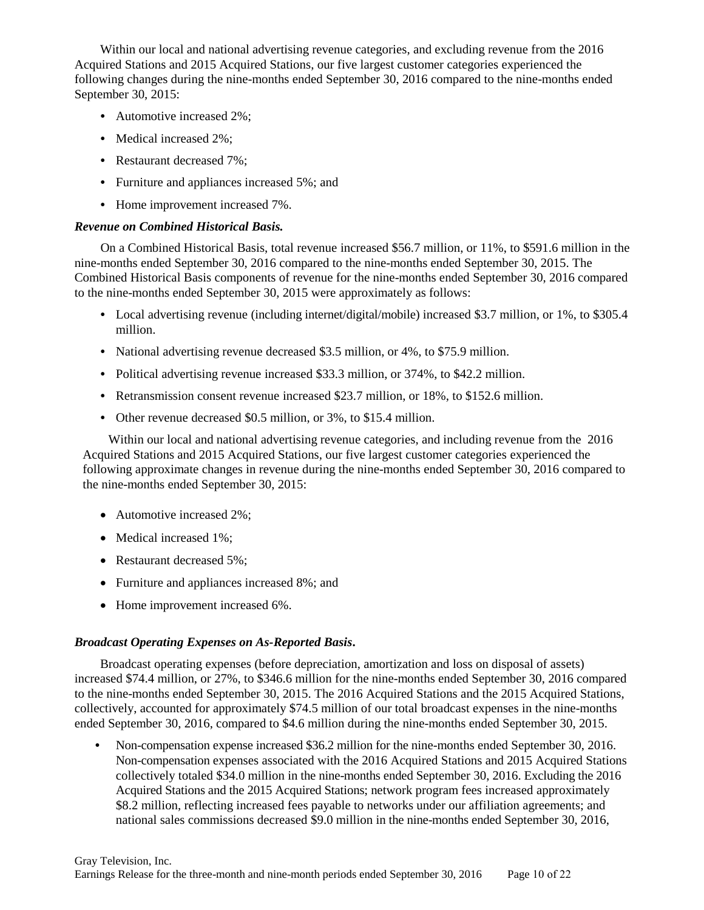Within our local and national advertising revenue categories, and excluding revenue from the 2016 Acquired Stations and 2015 Acquired Stations, our five largest customer categories experienced the following changes during the nine-months ended September 30, 2016 compared to the nine-months ended September 30, 2015:

- **•** Automotive increased 2%;
- **•** Medical increased 2%;
- **•** Restaurant decreased 7%;
- **•** Furniture and appliances increased 5%; and
- **•** Home improvement increased 7%.

## *Revenue on Combined Historical Basis.*

On a Combined Historical Basis, total revenue increased \$56.7 million, or 11%, to \$591.6 million in the nine-months ended September 30, 2016 compared to the nine-months ended September 30, 2015. The Combined Historical Basis components of revenue for the nine-months ended September 30, 2016 compared to the nine-months ended September 30, 2015 were approximately as follows:

- Local advertising revenue (including internet/digital/mobile) increased \$3.7 million, or 1%, to \$305.4 million.
- **•** National advertising revenue decreased \$3.5 million, or 4%, to \$75.9 million.
- **•** Political advertising revenue increased \$33.3 million, or 374%, to \$42.2 million.
- **•** Retransmission consent revenue increased \$23.7 million, or 18%, to \$152.6 million.
- **•** Other revenue decreased \$0.5 million, or 3%, to \$15.4 million.

Within our local and national advertising revenue categories, and including revenue from the 2016 Acquired Stations and 2015 Acquired Stations, our five largest customer categories experienced the following approximate changes in revenue during the nine-months ended September 30, 2016 compared to the nine-months ended September 30, 2015:

- Automotive increased 2%;
- Medical increased 1%;
- Restaurant decreased 5%;
- Furniture and appliances increased 8%; and
- Home improvement increased 6%.

## *Broadcast Operating Expenses on As-Reported Basis***.**

Broadcast operating expenses (before depreciation, amortization and loss on disposal of assets) increased \$74.4 million, or 27%, to \$346.6 million for the nine-months ended September 30, 2016 compared to the nine-months ended September 30, 2015. The 2016 Acquired Stations and the 2015 Acquired Stations, collectively, accounted for approximately \$74.5 million of our total broadcast expenses in the nine-months ended September 30, 2016, compared to \$4.6 million during the nine-months ended September 30, 2015.

**•** Non-compensation expense increased \$36.2 million for the nine-months ended September 30, 2016. Non-compensation expenses associated with the 2016 Acquired Stations and 2015 Acquired Stations collectively totaled \$34.0 million in the nine-months ended September 30, 2016. Excluding the 2016 Acquired Stations and the 2015 Acquired Stations; network program fees increased approximately \$8.2 million, reflecting increased fees payable to networks under our affiliation agreements; and national sales commissions decreased \$9.0 million in the nine-months ended September 30, 2016,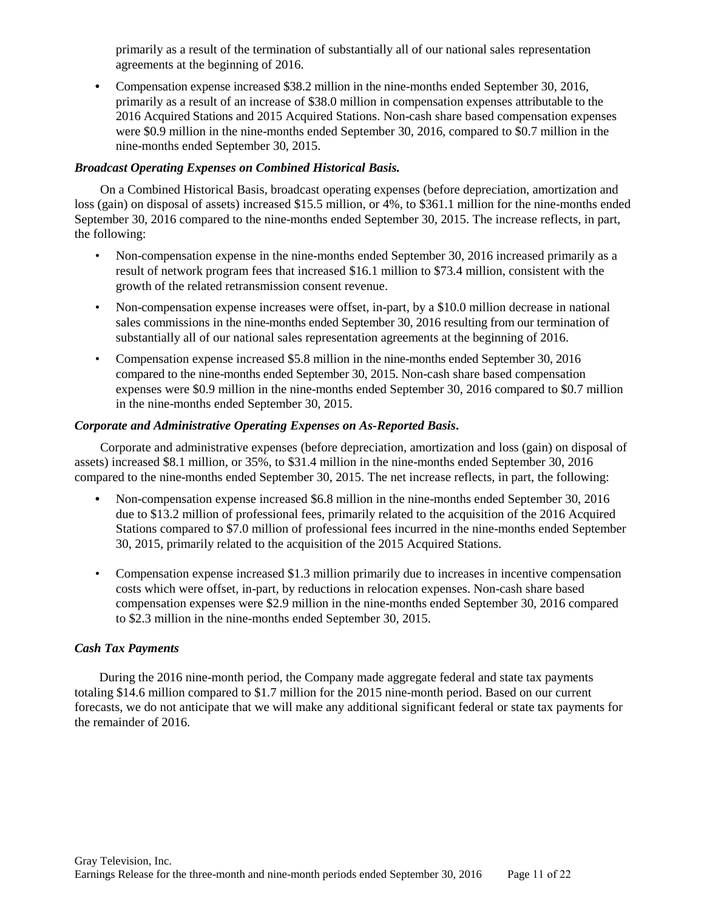primarily as a result of the termination of substantially all of our national sales representation agreements at the beginning of 2016.

**•** Compensation expense increased \$38.2 million in the nine-months ended September 30, 2016, primarily as a result of an increase of \$38.0 million in compensation expenses attributable to the 2016 Acquired Stations and 2015 Acquired Stations. Non-cash share based compensation expenses were \$0.9 million in the nine-months ended September 30, 2016, compared to \$0.7 million in the nine-months ended September 30, 2015.

# *Broadcast Operating Expenses on Combined Historical Basis.*

On a Combined Historical Basis, broadcast operating expenses (before depreciation, amortization and loss (gain) on disposal of assets) increased \$15.5 million, or 4%, to \$361.1 million for the nine-months ended September 30, 2016 compared to the nine-months ended September 30, 2015. The increase reflects, in part, the following:

- Non-compensation expense in the nine-months ended September 30, 2016 increased primarily as a result of network program fees that increased \$16.1 million to \$73.4 million, consistent with the growth of the related retransmission consent revenue.
- Non-compensation expense increases were offset, in-part, by a \$10.0 million decrease in national sales commissions in the nine-months ended September 30, 2016 resulting from our termination of substantially all of our national sales representation agreements at the beginning of 2016.
- Compensation expense increased \$5.8 million in the nine-months ended September 30, 2016 compared to the nine-months ended September 30, 2015. Non-cash share based compensation expenses were \$0.9 million in the nine-months ended September 30, 2016 compared to \$0.7 million in the nine-months ended September 30, 2015.

## *Corporate and Administrative Operating Expenses on As-Reported Basis***.**

Corporate and administrative expenses (before depreciation, amortization and loss (gain) on disposal of assets) increased \$8.1 million, or 35%, to \$31.4 million in the nine-months ended September 30, 2016 compared to the nine-months ended September 30, 2015. The net increase reflects, in part, the following:

- **•** Non-compensation expense increased \$6.8 million in the nine-months ended September 30, 2016 due to \$13.2 million of professional fees, primarily related to the acquisition of the 2016 Acquired Stations compared to \$7.0 million of professional fees incurred in the nine-months ended September 30, 2015, primarily related to the acquisition of the 2015 Acquired Stations.
- Compensation expense increased \$1.3 million primarily due to increases in incentive compensation costs which were offset, in-part, by reductions in relocation expenses. Non-cash share based compensation expenses were \$2.9 million in the nine-months ended September 30, 2016 compared to \$2.3 million in the nine-months ended September 30, 2015.

## *Cash Tax Payments*

During the 2016 nine-month period, the Company made aggregate federal and state tax payments totaling \$14.6 million compared to \$1.7 million for the 2015 nine-month period. Based on our current forecasts, we do not anticipate that we will make any additional significant federal or state tax payments for the remainder of 2016.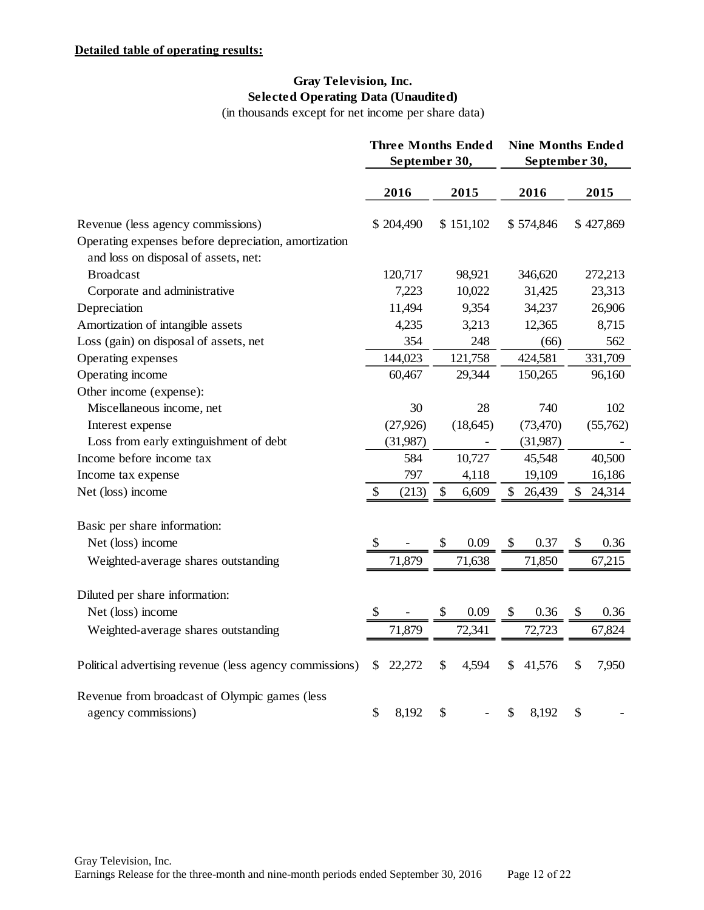# **Gray Television, Inc. Selected Operating Data (Unaudited)**

(in thousands except for net income per share data)

|                                                                                              | <b>Three Months Ended</b><br>September 30, |             | <b>Nine Months Ended</b><br>September 30, |           |    |           |
|----------------------------------------------------------------------------------------------|--------------------------------------------|-------------|-------------------------------------------|-----------|----|-----------|
|                                                                                              | 2016                                       | 2015        |                                           | 2016      |    | 2015      |
| Revenue (less agency commissions)                                                            | \$204,490                                  | \$151,102   |                                           | \$574,846 |    | \$427,869 |
| Operating expenses before depreciation, amortization<br>and loss on disposal of assets, net: |                                            |             |                                           |           |    |           |
| <b>Broadcast</b>                                                                             | 120,717                                    | 98,921      |                                           | 346,620   |    | 272,213   |
| Corporate and administrative                                                                 | 7,223                                      | 10,022      |                                           | 31,425    |    | 23,313    |
| Depreciation                                                                                 | 11,494                                     | 9,354       |                                           | 34,237    |    | 26,906    |
| Amortization of intangible assets                                                            | 4,235                                      | 3,213       |                                           | 12,365    |    | 8,715     |
| Loss (gain) on disposal of assets, net                                                       | 354                                        | 248         |                                           | (66)      |    | 562       |
| Operating expenses                                                                           | 144,023                                    | 121,758     |                                           | 424,581   |    | 331,709   |
| Operating income                                                                             | 60,467                                     | 29,344      |                                           | 150,265   |    | 96,160    |
| Other income (expense):                                                                      |                                            |             |                                           |           |    |           |
| Miscellaneous income, net                                                                    | 30                                         | 28          |                                           | 740       |    | 102       |
| Interest expense                                                                             | (27, 926)                                  | (18, 645)   |                                           | (73, 470) |    | (55,762)  |
| Loss from early extinguishment of debt                                                       | (31,987)                                   |             |                                           | (31,987)  |    |           |
| Income before income tax                                                                     | 584                                        | 10,727      |                                           | 45,548    |    | 40,500    |
| Income tax expense                                                                           | 797                                        | 4,118       |                                           | 19,109    |    | 16,186    |
| Net (loss) income                                                                            | \$<br>(213)                                | \$<br>6,609 | \$                                        | 26,439    | \$ | 24,314    |
| Basic per share information:                                                                 |                                            |             |                                           |           |    |           |
| Net (loss) income                                                                            | \$                                         | \$<br>0.09  | \$                                        | 0.37      | \$ | 0.36      |
| Weighted-average shares outstanding                                                          | 71,879                                     | 71,638      |                                           | 71,850    |    | 67,215    |
|                                                                                              |                                            |             |                                           |           |    |           |
| Diluted per share information:                                                               |                                            |             |                                           |           |    |           |
| Net (loss) income                                                                            | \$                                         | \$<br>0.09  | \$                                        | 0.36      | \$ | 0.36      |
| Weighted-average shares outstanding                                                          | 71,879                                     | 72,341      |                                           | 72,723    |    | 67,824    |
| Political advertising revenue (less agency commissions)                                      | \$<br>22,272                               | \$<br>4,594 | \$                                        | 41,576    | \$ | 7,950     |
| Revenue from broadcast of Olympic games (less                                                |                                            |             |                                           |           |    |           |
| agency commissions)                                                                          | \$<br>8,192                                | \$          | \$                                        | 8,192     | \$ |           |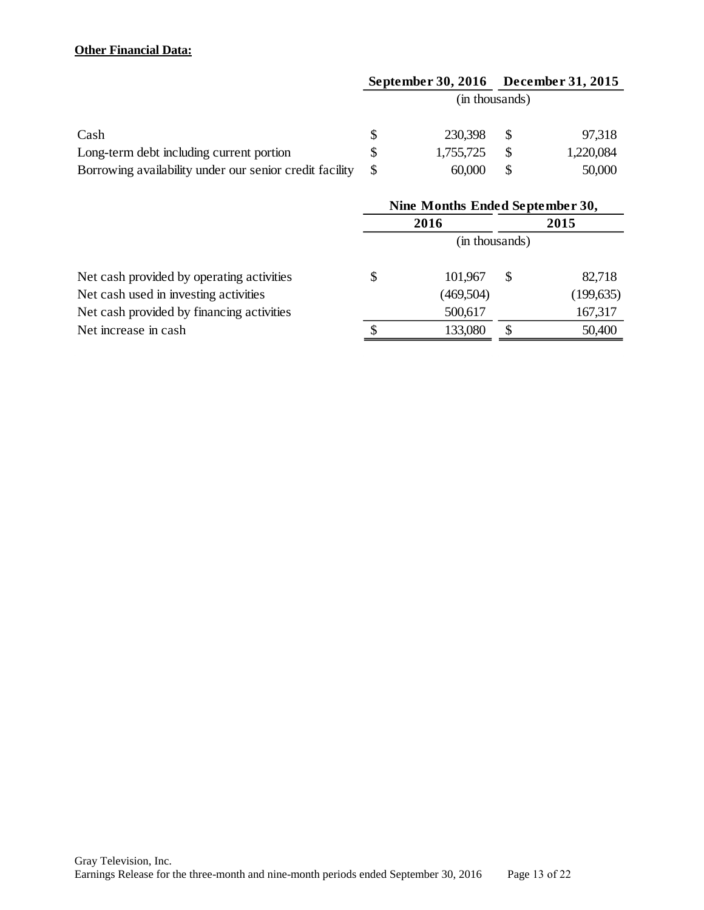# **Other Financial Data:**

|                                                         | September 30, 2016 |          | <b>December 31, 2015</b> |
|---------------------------------------------------------|--------------------|----------|--------------------------|
|                                                         | (in thousands)     |          |                          |
| Cash                                                    | 230,398            |          | 97,318                   |
| Long-term debt including current portion                | 1,755,725          |          | 1,220,084                |
| Borrowing availability under our senior credit facility | 60,000             | <b>S</b> | 50,000                   |

|                                           | Nine Months Ended September 30, |           |      |            |  |  |  |  |
|-------------------------------------------|---------------------------------|-----------|------|------------|--|--|--|--|
|                                           |                                 | 2016      | 2015 |            |  |  |  |  |
|                                           | (in thousands)                  |           |      |            |  |  |  |  |
| Net cash provided by operating activities | S                               | 101,967   | -S   | 82,718     |  |  |  |  |
| Net cash used in investing activities     |                                 | (469,504) |      | (199, 635) |  |  |  |  |
| Net cash provided by financing activities |                                 | 500,617   |      | 167,317    |  |  |  |  |
| Net increase in cash                      |                                 | 133,080   |      | 50,400     |  |  |  |  |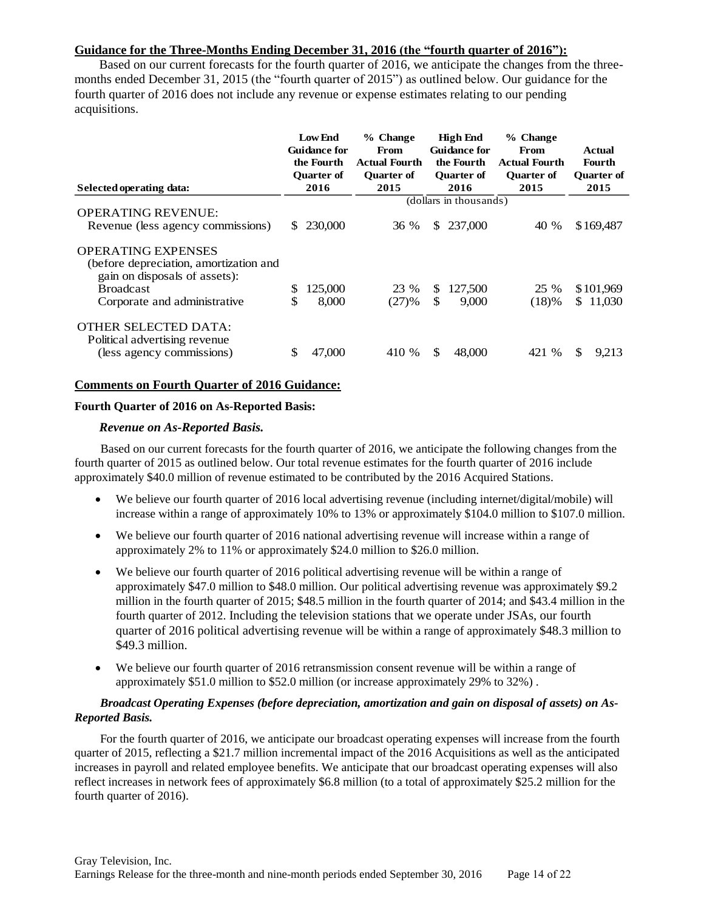# **Guidance for the Three-Months Ending December 31, 2016 (the "fourth quarter of 2016"):**

Based on our current forecasts for the fourth quarter of 2016, we anticipate the changes from the threemonths ended December 31, 2015 (the "fourth quarter of 2015") as outlined below. Our guidance for the fourth quarter of 2016 does not include any revenue or expense estimates relating to our pending acquisitions.

| Selected operating data:                                                                                                 | <b>Low End</b><br><b>Guidance for</b><br>the Fourth<br><b>Ouarter of</b><br>2016 | $%$ Change<br>From<br><b>Actual Fourth</b><br><b>Ouarter of</b><br>2015 | <b>High End</b><br><b>Guidance for</b><br>the Fourth<br><b>Ouarter of</b><br>2016 | $%$ Change<br>From<br><b>Actual Fourth</b><br><b>Ouarter of</b><br>2015 | Actual<br>Fourth<br><b>Ouarter of</b><br>2015 |
|--------------------------------------------------------------------------------------------------------------------------|----------------------------------------------------------------------------------|-------------------------------------------------------------------------|-----------------------------------------------------------------------------------|-------------------------------------------------------------------------|-----------------------------------------------|
|                                                                                                                          |                                                                                  |                                                                         | (dollars in thousands)                                                            |                                                                         |                                               |
| <b>OPERATING REVENUE:</b><br>Revenue (less agency commissions)                                                           | 230,000<br>S.                                                                    | 36 %                                                                    | 237,000<br><sup>\$</sup>                                                          | 40 %                                                                    | \$169,487                                     |
| <b>OPERATING EXPENSES</b><br>(before depreciation, amortization and<br>gain on disposals of assets):<br><b>Broadcast</b> | 125,000<br>\$                                                                    | 23 %                                                                    | 127,500<br>S.                                                                     | 25 %                                                                    | \$101,969                                     |
| Corporate and administrative                                                                                             | \$<br>8,000                                                                      | (27)%                                                                   | \$<br>9,000                                                                       | (18)%                                                                   | \$11,030                                      |
| <b>OTHER SELECTED DATA:</b><br>Political advertising revenue<br>(less agency commissions)                                | \$<br>47,000                                                                     | 410 %                                                                   | \$<br>48,000                                                                      | 421 %                                                                   | \$<br>9,213                                   |

## **Comments on Fourth Quarter of 2016 Guidance:**

#### **Fourth Quarter of 2016 on As-Reported Basis:**

### *Revenue on As-Reported Basis.*

Based on our current forecasts for the fourth quarter of 2016, we anticipate the following changes from the fourth quarter of 2015 as outlined below. Our total revenue estimates for the fourth quarter of 2016 include approximately \$40.0 million of revenue estimated to be contributed by the 2016 Acquired Stations.

- We believe our fourth quarter of 2016 local advertising revenue (including internet/digital/mobile) will increase within a range of approximately 10% to 13% or approximately \$104.0 million to \$107.0 million.
- We believe our fourth quarter of 2016 national advertising revenue will increase within a range of approximately 2% to 11% or approximately \$24.0 million to \$26.0 million.
- We believe our fourth quarter of 2016 political advertising revenue will be within a range of approximately \$47.0 million to \$48.0 million. Our political advertising revenue was approximately \$9.2 million in the fourth quarter of 2015; \$48.5 million in the fourth quarter of 2014; and \$43.4 million in the fourth quarter of 2012. Including the television stations that we operate under JSAs, our fourth quarter of 2016 political advertising revenue will be within a range of approximately \$48.3 million to \$49.3 million.
- We believe our fourth quarter of 2016 retransmission consent revenue will be within a range of approximately \$51.0 million to \$52.0 million (or increase approximately 29% to 32%) .

### *Broadcast Operating Expenses (before depreciation, amortization and gain on disposal of assets) on As-Reported Basis.*

For the fourth quarter of 2016, we anticipate our broadcast operating expenses will increase from the fourth quarter of 2015, reflecting a \$21.7 million incremental impact of the 2016 Acquisitions as well as the anticipated increases in payroll and related employee benefits. We anticipate that our broadcast operating expenses will also reflect increases in network fees of approximately \$6.8 million (to a total of approximately \$25.2 million for the fourth quarter of 2016).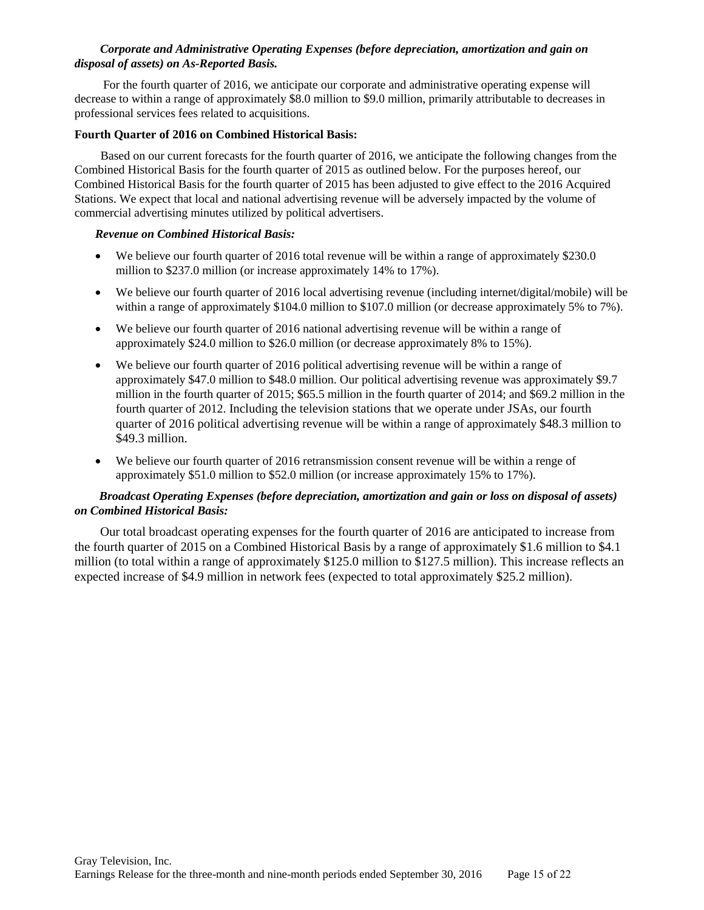### *Corporate and Administrative Operating Expenses (before depreciation, amortization and gain on disposal of assets) on As-Reported Basis.*

For the fourth quarter of 2016, we anticipate our corporate and administrative operating expense will decrease to within a range of approximately \$8.0 million to \$9.0 million, primarily attributable to decreases in professional services fees related to acquisitions.

### **Fourth Quarter of 2016 on Combined Historical Basis:**

Based on our current forecasts for the fourth quarter of 2016, we anticipate the following changes from the Combined Historical Basis for the fourth quarter of 2015 as outlined below. For the purposes hereof, our Combined Historical Basis for the fourth quarter of 2015 has been adjusted to give effect to the 2016 Acquired Stations. We expect that local and national advertising revenue will be adversely impacted by the volume of commercial advertising minutes utilized by political advertisers.

### *Revenue on Combined Historical Basis:*

- We believe our fourth quarter of 2016 total revenue will be within a range of approximately \$230.0 million to \$237.0 million (or increase approximately 14% to 17%).
- We believe our fourth quarter of 2016 local advertising revenue (including internet/digital/mobile) will be within a range of approximately \$104.0 million to \$107.0 million (or decrease approximately 5% to 7%).
- We believe our fourth quarter of 2016 national advertising revenue will be within a range of approximately \$24.0 million to \$26.0 million (or decrease approximately 8% to 15%).
- We believe our fourth quarter of 2016 political advertising revenue will be within a range of approximately \$47.0 million to \$48.0 million. Our political advertising revenue was approximately \$9.7 million in the fourth quarter of 2015; \$65.5 million in the fourth quarter of 2014; and \$69.2 million in the fourth quarter of 2012. Including the television stations that we operate under JSAs, our fourth quarter of 2016 political advertising revenue will be within a range of approximately \$48.3 million to \$49.3 million.
- We believe our fourth quarter of 2016 retransmission consent revenue will be within a renge of approximately \$51.0 million to \$52.0 million (or increase approximately 15% to 17%).

## *Broadcast Operating Expenses (before depreciation, amortization and gain or loss on disposal of assets) on Combined Historical Basis:*

Our total broadcast operating expenses for the fourth quarter of 2016 are anticipated to increase from the fourth quarter of 2015 on a Combined Historical Basis by a range of approximately \$1.6 million to \$4.1 million (to total within a range of approximately \$125.0 million to \$127.5 million). This increase reflects an expected increase of \$4.9 million in network fees (expected to total approximately \$25.2 million).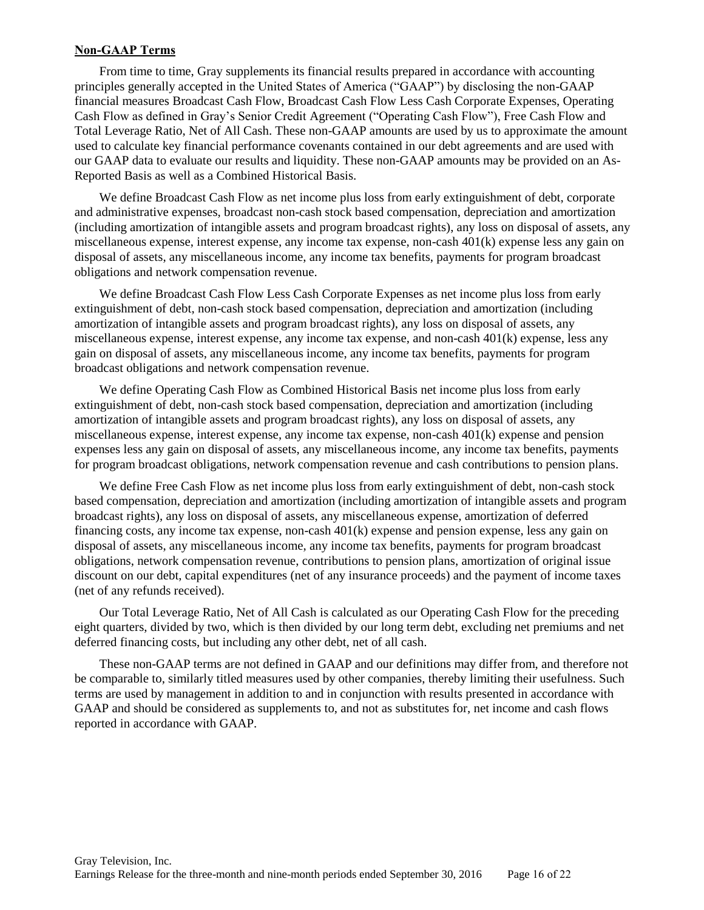## **Non-GAAP Terms**

From time to time, Gray supplements its financial results prepared in accordance with accounting principles generally accepted in the United States of America ("GAAP") by disclosing the non-GAAP financial measures Broadcast Cash Flow, Broadcast Cash Flow Less Cash Corporate Expenses, Operating Cash Flow as defined in Gray's Senior Credit Agreement ("Operating Cash Flow"), Free Cash Flow and Total Leverage Ratio, Net of All Cash. These non-GAAP amounts are used by us to approximate the amount used to calculate key financial performance covenants contained in our debt agreements and are used with our GAAP data to evaluate our results and liquidity. These non-GAAP amounts may be provided on an As-Reported Basis as well as a Combined Historical Basis.

We define Broadcast Cash Flow as net income plus loss from early extinguishment of debt, corporate and administrative expenses, broadcast non-cash stock based compensation, depreciation and amortization (including amortization of intangible assets and program broadcast rights), any loss on disposal of assets, any miscellaneous expense, interest expense, any income tax expense, non-cash 401(k) expense less any gain on disposal of assets, any miscellaneous income, any income tax benefits, payments for program broadcast obligations and network compensation revenue.

We define Broadcast Cash Flow Less Cash Corporate Expenses as net income plus loss from early extinguishment of debt, non-cash stock based compensation, depreciation and amortization (including amortization of intangible assets and program broadcast rights), any loss on disposal of assets, any miscellaneous expense, interest expense, any income tax expense, and non-cash 401(k) expense, less any gain on disposal of assets, any miscellaneous income, any income tax benefits, payments for program broadcast obligations and network compensation revenue.

We define Operating Cash Flow as Combined Historical Basis net income plus loss from early extinguishment of debt, non-cash stock based compensation, depreciation and amortization (including amortization of intangible assets and program broadcast rights), any loss on disposal of assets, any miscellaneous expense, interest expense, any income tax expense, non-cash 401(k) expense and pension expenses less any gain on disposal of assets, any miscellaneous income, any income tax benefits, payments for program broadcast obligations, network compensation revenue and cash contributions to pension plans.

We define Free Cash Flow as net income plus loss from early extinguishment of debt, non-cash stock based compensation, depreciation and amortization (including amortization of intangible assets and program broadcast rights), any loss on disposal of assets, any miscellaneous expense, amortization of deferred financing costs, any income tax expense, non-cash 401(k) expense and pension expense, less any gain on disposal of assets, any miscellaneous income, any income tax benefits, payments for program broadcast obligations, network compensation revenue, contributions to pension plans, amortization of original issue discount on our debt, capital expenditures (net of any insurance proceeds) and the payment of income taxes (net of any refunds received).

Our Total Leverage Ratio, Net of All Cash is calculated as our Operating Cash Flow for the preceding eight quarters, divided by two, which is then divided by our long term debt, excluding net premiums and net deferred financing costs, but including any other debt, net of all cash.

These non-GAAP terms are not defined in GAAP and our definitions may differ from, and therefore not be comparable to, similarly titled measures used by other companies, thereby limiting their usefulness. Such terms are used by management in addition to and in conjunction with results presented in accordance with GAAP and should be considered as supplements to, and not as substitutes for, net income and cash flows reported in accordance with GAAP.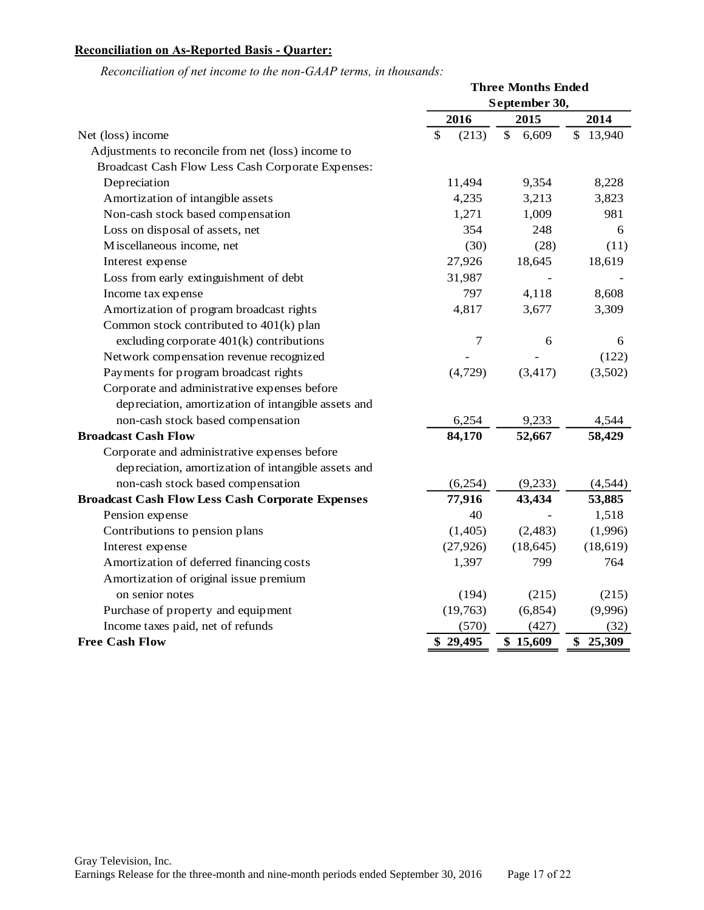# **Reconciliation on As-Reported Basis - Quarter:**

|                                                         | <b>Three Months Ended</b> |                       |              |  |  |
|---------------------------------------------------------|---------------------------|-----------------------|--------------|--|--|
|                                                         | September 30,             |                       |              |  |  |
|                                                         | 2016                      | 2015                  | 2014         |  |  |
| Net (loss) income                                       | $\mathcal{S}$<br>(213)    | $\mathbb{S}$<br>6,609 | \$13,940     |  |  |
| Adjustments to reconcile from net (loss) income to      |                           |                       |              |  |  |
| Broadcast Cash Flow Less Cash Corporate Expenses:       |                           |                       |              |  |  |
| Depreciation                                            | 11,494                    | 9,354                 | 8,228        |  |  |
| Amortization of intangible assets                       | 4,235                     | 3,213                 | 3,823        |  |  |
| Non-cash stock based compensation                       | 1,271                     | 1,009                 | 981          |  |  |
| Loss on disposal of assets, net                         | 354                       | 248                   | 6            |  |  |
| Miscellaneous income, net                               | (30)                      | (28)                  | (11)         |  |  |
| Interest expense                                        | 27,926                    | 18,645                | 18,619       |  |  |
| Loss from early extinguishment of debt                  | 31,987                    |                       |              |  |  |
| Income tax expense                                      | 797                       | 4,118                 | 8,608        |  |  |
| Amortization of program broadcast rights                | 4,817                     | 3,677                 | 3,309        |  |  |
| Common stock contributed to 401(k) plan                 |                           |                       |              |  |  |
| excluding corporate $401(k)$ contributions              | $\overline{7}$            | 6                     | 6            |  |  |
| Network compensation revenue recognized                 |                           |                       | (122)        |  |  |
| Payments for program broadcast rights                   | (4, 729)                  | (3, 417)              | (3,502)      |  |  |
| Corporate and administrative expenses before            |                           |                       |              |  |  |
| depreciation, amortization of intangible assets and     |                           |                       |              |  |  |
| non-cash stock based compensation                       | 6,254                     | 9,233                 | 4,544        |  |  |
| <b>Broadcast Cash Flow</b>                              | 84,170                    | 52,667                | 58,429       |  |  |
| Corporate and administrative expenses before            |                           |                       |              |  |  |
| depreciation, amortization of intangible assets and     |                           |                       |              |  |  |
| non-cash stock based compensation                       | (6,254)                   | (9,233)               | (4,544)      |  |  |
| <b>Broadcast Cash Flow Less Cash Corporate Expenses</b> | 77,916                    | 43,434                | 53,885       |  |  |
| Pension expense                                         | 40                        |                       | 1,518        |  |  |
| Contributions to pension plans                          | (1,405)                   | (2, 483)              | (1,996)      |  |  |
| Interest expense                                        | (27, 926)                 | (18, 645)             | (18,619)     |  |  |
| Amortization of deferred financing costs                | 1,397                     | 799                   | 764          |  |  |
| Amortization of original issue premium                  |                           |                       |              |  |  |
| on senior notes                                         | (194)                     | (215)                 | (215)        |  |  |
| Purchase of property and equipment                      | (19,763)                  | (6, 854)              | (9,996)      |  |  |
| Income taxes paid, net of refunds                       | (570)                     | (427)                 | (32)         |  |  |
| <b>Free Cash Flow</b>                                   | \$29,495                  | \$15,609              | \$<br>25,309 |  |  |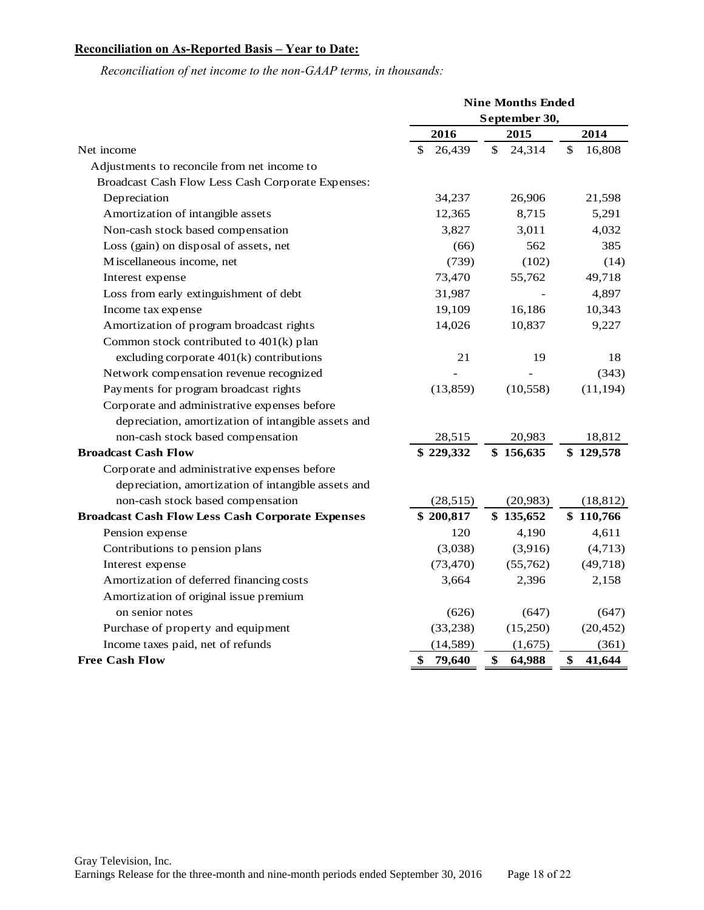# **Reconciliation on As-Reported Basis – Year to Date:**

|                                                         | <b>Nine Months Ended</b> |               |              |  |  |
|---------------------------------------------------------|--------------------------|---------------|--------------|--|--|
|                                                         |                          | September 30, |              |  |  |
|                                                         | 2016                     | 2015          | 2014         |  |  |
| Net income                                              | 26,439<br>\$             | \$<br>24,314  | \$<br>16,808 |  |  |
| Adjustments to reconcile from net income to             |                          |               |              |  |  |
| Broadcast Cash Flow Less Cash Corporate Expenses:       |                          |               |              |  |  |
| Depreciation                                            | 34,237                   | 26,906        | 21,598       |  |  |
| Amortization of intangible assets                       | 12,365                   | 8,715         | 5,291        |  |  |
| Non-cash stock based compensation                       | 3,827                    | 3,011         | 4,032        |  |  |
| Loss (gain) on disposal of assets, net                  | (66)                     | 562           | 385          |  |  |
| Miscellaneous income, net                               | (739)                    | (102)         | (14)         |  |  |
| Interest expense                                        | 73,470                   | 55,762        | 49,718       |  |  |
| Loss from early extinguishment of debt                  | 31,987                   |               | 4,897        |  |  |
| Income tax expense                                      | 19,109                   | 16,186        | 10,343       |  |  |
| Amortization of program broadcast rights                | 14,026                   | 10,837        | 9,227        |  |  |
| Common stock contributed to 401(k) plan                 |                          |               |              |  |  |
| excluding corporate $401(k)$ contributions              | 21                       | 19            | 18           |  |  |
| Network compensation revenue recognized                 |                          |               | (343)        |  |  |
| Payments for program broadcast rights                   | (13, 859)                | (10, 558)     | (11, 194)    |  |  |
| Corporate and administrative expenses before            |                          |               |              |  |  |
| depreciation, amortization of intangible assets and     |                          |               |              |  |  |
| non-cash stock based compensation                       | 28,515                   | 20,983        | 18,812       |  |  |
| <b>Broadcast Cash Flow</b>                              | \$229,332                | \$156,635     | \$129,578    |  |  |
| Corporate and administrative expenses before            |                          |               |              |  |  |
| depreciation, amortization of intangible assets and     |                          |               |              |  |  |
| non-cash stock based compensation                       | (28, 515)                | (20, 983)     | (18, 812)    |  |  |
| <b>Broadcast Cash Flow Less Cash Corporate Expenses</b> | \$200,817                | \$135,652     | \$110,766    |  |  |
| Pension expense                                         | 120                      | 4,190         | 4,611        |  |  |
| Contributions to pension plans                          | (3,038)                  | (3,916)       | (4,713)      |  |  |
| Interest expense                                        | (73, 470)                | (55,762)      | (49,718)     |  |  |
| Amortization of deferred financing costs                | 3,664                    | 2,396         | 2,158        |  |  |
| Amortization of original issue premium                  |                          |               |              |  |  |
| on senior notes                                         | (626)                    | (647)         | (647)        |  |  |
| Purchase of property and equipment                      | (33, 238)                | (15,250)      | (20, 452)    |  |  |
| Income taxes paid, net of refunds                       | (14, 589)                | (1,675)       | (361)        |  |  |
| <b>Free Cash Flow</b>                                   | \$<br>79,640             | \$<br>64,988  | \$<br>41,644 |  |  |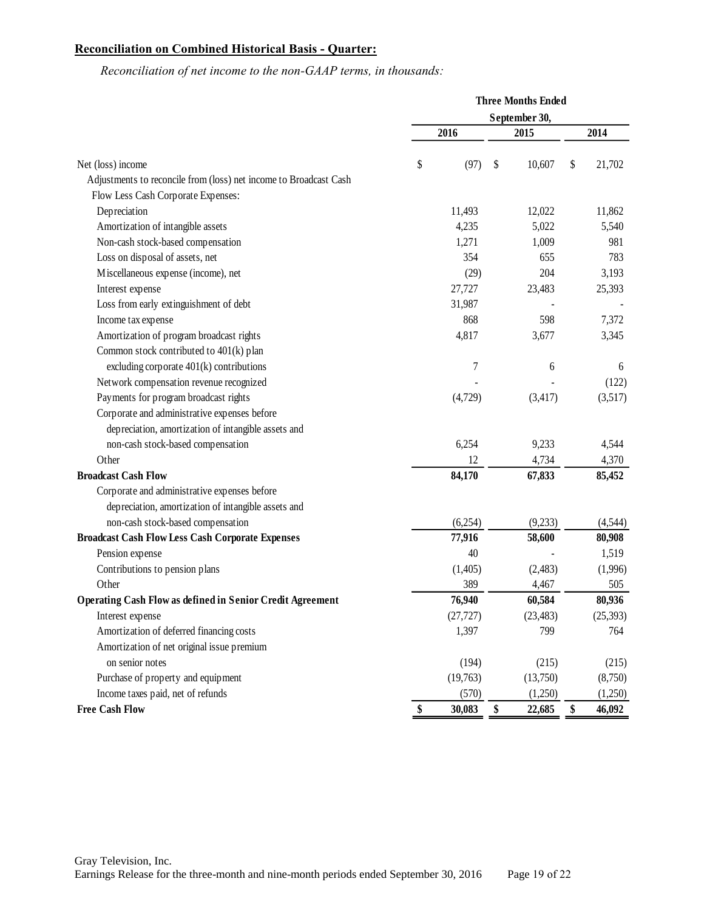# **Reconciliation on Combined Historical Basis - Quarter:**

|                                                                   |               | <b>Three Months Ended</b> |    |           |    |           |  |
|-------------------------------------------------------------------|---------------|---------------------------|----|-----------|----|-----------|--|
|                                                                   | September 30, |                           |    |           |    |           |  |
|                                                                   |               | 2016                      |    | 2015      |    | 2014      |  |
| Net (loss) income                                                 | \$            | (97)                      | \$ | 10,607    | \$ | 21,702    |  |
| Adjustments to reconcile from (loss) net income to Broadcast Cash |               |                           |    |           |    |           |  |
| Flow Less Cash Corporate Expenses:                                |               |                           |    |           |    |           |  |
| Depreciation                                                      |               | 11,493                    |    | 12,022    |    | 11,862    |  |
| Amortization of intangible assets                                 |               | 4,235                     |    | 5,022     |    | 5,540     |  |
| Non-cash stock-based compensation                                 |               | 1,271                     |    | 1,009     |    | 981       |  |
| Loss on disposal of assets, net                                   |               | 354                       |    | 655       |    | 783       |  |
| Miscellaneous expense (income), net                               |               | (29)                      |    | 204       |    | 3,193     |  |
| Interest expense                                                  |               | 27,727                    |    | 23,483    |    | 25,393    |  |
| Loss from early extinguishment of debt                            |               | 31,987                    |    |           |    |           |  |
| Income tax expense                                                |               | 868                       |    | 598       |    | 7,372     |  |
| Amortization of program broadcast rights                          |               | 4,817                     |    | 3,677     |    | 3,345     |  |
| Common stock contributed to 401(k) plan                           |               |                           |    |           |    |           |  |
| excluding corporate 401(k) contributions                          |               | 7                         |    | 6         |    | 6         |  |
| Network compensation revenue recognized                           |               |                           |    |           |    | (122)     |  |
| Payments for program broadcast rights                             |               | (4,729)                   |    | (3, 417)  |    | (3,517)   |  |
| Corporate and administrative expenses before                      |               |                           |    |           |    |           |  |
| depreciation, amortization of intangible assets and               |               |                           |    |           |    |           |  |
| non-cash stock-based compensation                                 |               | 6,254                     |    | 9,233     |    | 4,544     |  |
| Other                                                             |               | 12                        |    | 4,734     |    | 4,370     |  |
| <b>Broadcast Cash Flow</b>                                        |               | 84,170                    |    | 67,833    |    | 85,452    |  |
| Corporate and administrative expenses before                      |               |                           |    |           |    |           |  |
| depreciation, amortization of intangible assets and               |               |                           |    |           |    |           |  |
| non-cash stock-based compensation                                 |               | (6,254)                   |    | (9,233)   |    | (4, 544)  |  |
| <b>Broadcast Cash Flow Less Cash Corporate Expenses</b>           |               | 77,916                    |    | 58,600    |    | 80,908    |  |
| Pension expense                                                   |               | 40                        |    |           |    | 1,519     |  |
| Contributions to pension plans                                    |               | (1,405)                   |    | (2,483)   |    | (1,996)   |  |
| Other                                                             |               | 389                       |    | 4,467     |    | 505       |  |
| <b>Operating Cash Flow as defined in Senior Credit Agreement</b>  |               | 76,940                    |    | 60,584    |    | 80,936    |  |
| Interest expense                                                  |               | (27, 727)                 |    | (23, 483) |    | (25, 393) |  |
| Amortization of deferred financing costs                          |               | 1,397                     |    | 799       |    | 764       |  |
| Amortization of net original issue premium                        |               |                           |    |           |    |           |  |
| on senior notes                                                   |               | (194)                     |    | (215)     |    | (215)     |  |
| Purchase of property and equipment                                |               | (19,763)                  |    | (13,750)  |    | (8,750)   |  |
| Income taxes paid, net of refunds                                 |               | (570)                     |    | (1,250)   |    | (1,250)   |  |
| <b>Free Cash Flow</b>                                             | \$            | 30,083                    | \$ | 22,685    | \$ | 46,092    |  |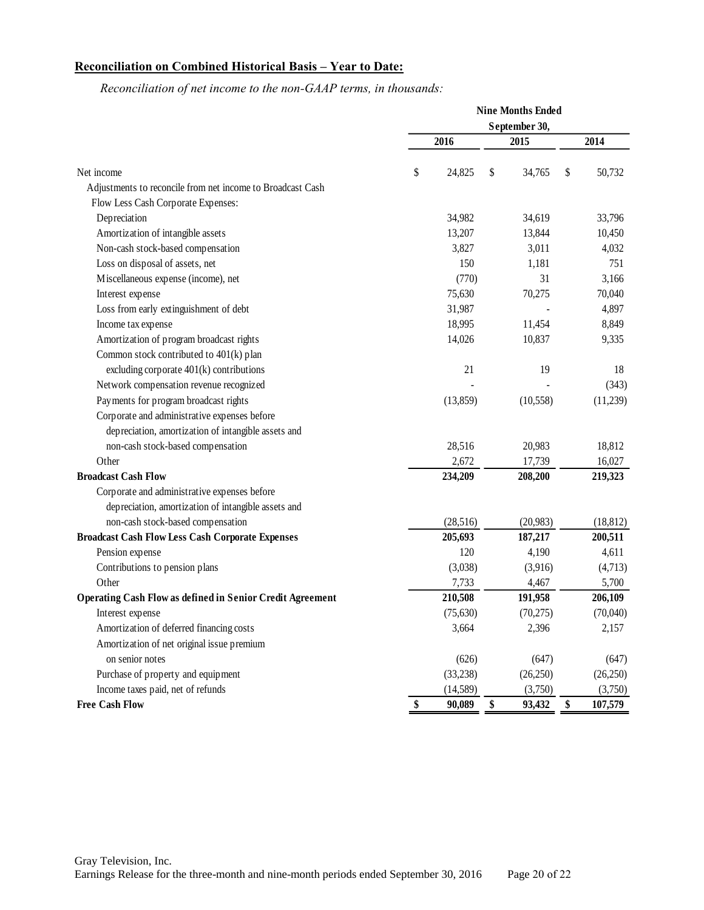# **Reconciliation on Combined Historical Basis – Year to Date:**

|                                                                  | <b>Nine Months Ended</b> |    |           |    |           |  |  |
|------------------------------------------------------------------|--------------------------|----|-----------|----|-----------|--|--|
|                                                                  | September 30,            |    |           |    |           |  |  |
|                                                                  | 2016                     |    | 2015      |    | 2014      |  |  |
| Net income                                                       | \$<br>24,825             | \$ | 34,765    | \$ | 50,732    |  |  |
| Adjustments to reconcile from net income to Broadcast Cash       |                          |    |           |    |           |  |  |
| Flow Less Cash Corporate Expenses:                               |                          |    |           |    |           |  |  |
| Depreciation                                                     | 34,982                   |    | 34,619    |    | 33,796    |  |  |
| Amortization of intangible assets                                | 13,207                   |    | 13,844    |    | 10,450    |  |  |
| Non-cash stock-based compensation                                | 3,827                    |    | 3,011     |    | 4,032     |  |  |
| Loss on disposal of assets, net                                  | 150                      |    | 1,181     |    | 751       |  |  |
| Miscellaneous expense (income), net                              | (770)                    |    | 31        |    | 3,166     |  |  |
| Interest expense                                                 | 75,630                   |    | 70,275    |    | 70,040    |  |  |
| Loss from early extinguishment of debt                           | 31,987                   |    |           |    | 4,897     |  |  |
| Income tax expense                                               | 18,995                   |    | 11,454    |    | 8,849     |  |  |
| Amortization of program broadcast rights                         | 14,026                   |    | 10,837    |    | 9,335     |  |  |
| Common stock contributed to 401(k) plan                          |                          |    |           |    |           |  |  |
| excluding corporate 401(k) contributions                         | 21                       |    | 19        |    | 18        |  |  |
| Network compensation revenue recognized                          |                          |    |           |    | (343)     |  |  |
| Payments for program broadcast rights                            | (13, 859)                |    | (10, 558) |    | (11,239)  |  |  |
| Corporate and administrative expenses before                     |                          |    |           |    |           |  |  |
| depreciation, amortization of intangible assets and              |                          |    |           |    |           |  |  |
| non-cash stock-based compensation                                | 28,516                   |    | 20,983    |    | 18,812    |  |  |
| Other                                                            | 2,672                    |    | 17,739    |    | 16,027    |  |  |
| <b>Broadcast Cash Flow</b>                                       | 234,209                  |    | 208,200   |    | 219,323   |  |  |
| Corporate and administrative expenses before                     |                          |    |           |    |           |  |  |
| depreciation, amortization of intangible assets and              |                          |    |           |    |           |  |  |
| non-cash stock-based compensation                                | (28, 516)                |    | (20,983)  |    | (18, 812) |  |  |
| <b>Broadcast Cash Flow Less Cash Corporate Expenses</b>          | 205,693                  |    | 187,217   |    | 200,511   |  |  |
| Pension expense                                                  | 120                      |    | 4,190     |    | 4,611     |  |  |
| Contributions to pension plans                                   | (3,038)                  |    | (3,916)   |    | (4,713)   |  |  |
| Other                                                            | 7,733                    |    | 4,467     |    | 5,700     |  |  |
| <b>Operating Cash Flow as defined in Senior Credit Agreement</b> | 210,508                  |    | 191,958   |    | 206,109   |  |  |
| Interest expense                                                 | (75, 630)                |    | (70, 275) |    | (70,040)  |  |  |
| Amortization of deferred financing costs                         | 3,664                    |    | 2,396     |    | 2,157     |  |  |
| Amortization of net original issue premium                       |                          |    |           |    |           |  |  |
| on senior notes                                                  | (626)                    |    | (647)     |    | (647)     |  |  |
| Purchase of property and equipment                               | (33, 238)                |    | (26, 250) |    | (26,250)  |  |  |
| Income taxes paid, net of refunds                                | (14, 589)                |    | (3,750)   |    | (3,750)   |  |  |
| <b>Free Cash Flow</b>                                            | \$<br>90,089             | \$ | 93,432    | \$ | 107,579   |  |  |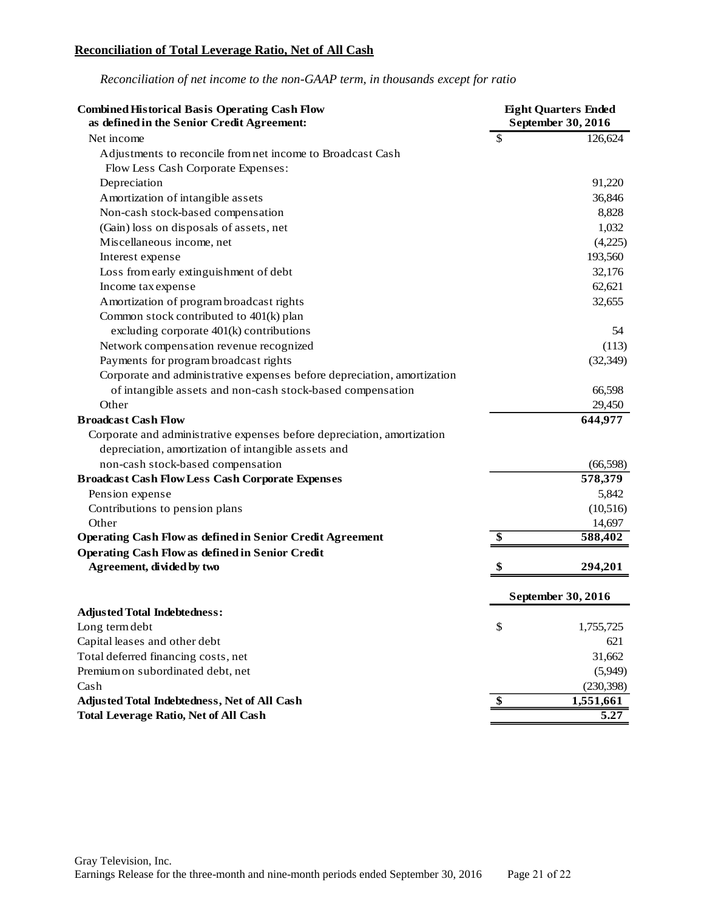## **Reconciliation of Total Leverage Ratio, Net of All Cash**

| <b>Combined Historical Basis Operating Cash Flow</b><br>as defined in the Senior Credit Agreement: | <b>Eight Quarters Ended</b><br>September 30, 2016 |                    |
|----------------------------------------------------------------------------------------------------|---------------------------------------------------|--------------------|
| Net income                                                                                         | $\mathcal{S}$                                     | 126,624            |
| Adjustments to reconcile from net income to Broadcast Cash                                         |                                                   |                    |
| Flow Less Cash Corporate Expenses:                                                                 |                                                   |                    |
| Depreciation                                                                                       |                                                   | 91,220             |
| Amortization of intangible assets                                                                  |                                                   | 36,846             |
| Non-cash stock-based compensation                                                                  |                                                   | 8,828              |
| (Gain) loss on disposals of assets, net                                                            |                                                   | 1,032              |
| Miscellaneous income, net                                                                          |                                                   | (4,225)            |
| Interest expense                                                                                   |                                                   | 193,560            |
| Loss from early extinguishment of debt                                                             |                                                   | 32,176             |
| Income tax expense                                                                                 |                                                   | 62,621             |
| Amortization of program broadcast rights                                                           |                                                   | 32,655             |
| Common stock contributed to 401(k) plan                                                            |                                                   |                    |
| excluding corporate 401(k) contributions                                                           |                                                   | 54                 |
| Network compensation revenue recognized                                                            |                                                   | (113)              |
| Payments for program broadcast rights                                                              |                                                   | (32, 349)          |
| Corporate and administrative expenses before depreciation, amortization                            |                                                   |                    |
| of intangible assets and non-cash stock-based compensation                                         |                                                   | 66,598             |
| Other                                                                                              |                                                   | 29,450             |
| <b>Broadcast Cash Flow</b>                                                                         |                                                   | 644,977            |
| Corporate and administrative expenses before depreciation, amortization                            |                                                   |                    |
| depreciation, amortization of intangible assets and                                                |                                                   |                    |
| non-cash stock-based compensation                                                                  |                                                   | (66, 598)          |
| <b>Broadcast Cash Flow Less Cash Corporate Expenses</b>                                            |                                                   | 578,379            |
| Pension expense                                                                                    |                                                   | 5,842              |
| Contributions to pension plans                                                                     |                                                   | (10,516)           |
| Other                                                                                              |                                                   | 14,697             |
| <b>Operating Cash Flow as defined in Senior Credit Agreement</b>                                   | \$                                                | 588,402            |
| <b>Operating Cash Flow as defined in Senior Credit</b>                                             |                                                   |                    |
| Agreement, divided by two                                                                          | \$                                                | 294,201            |
|                                                                                                    |                                                   | September 30, 2016 |
| <b>Adjusted Total Indebtedness:</b>                                                                |                                                   |                    |
| Long term debt                                                                                     | \$                                                | 1,755,725          |
| Capital leases and other debt                                                                      |                                                   | 621                |
| Total deferred financing costs, net                                                                |                                                   | 31,662             |
| Premium on subordinated debt, net                                                                  |                                                   | (5,949)            |
| Cash                                                                                               |                                                   | (230, 398)         |
| Adjusted Total Indebtedness, Net of All Cash                                                       | \$                                                | 1,551,661          |
| <b>Total Leverage Ratio, Net of All Cash</b>                                                       |                                                   | 5.27               |

*Reconciliation of net income to the non-GAAP term, in thousands except for ratio*